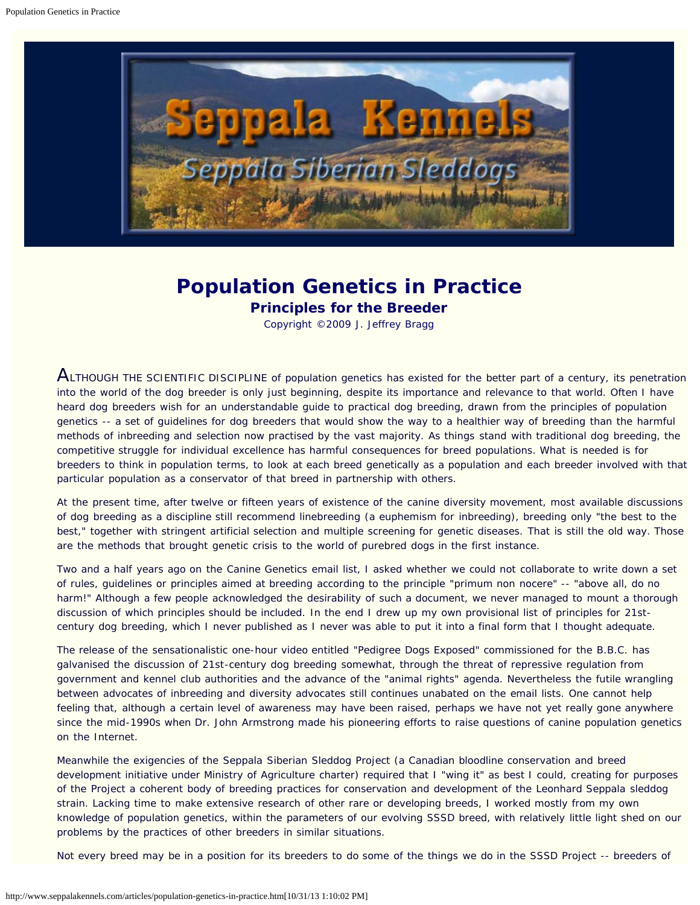<span id="page-0-0"></span>

# **Population Genetics in Practice**

**Principles for the Breeder**

Copyright ©2009 J. Jeffrey Bragg

 $A$ LTHOUGH THE SCIENTIFIC DISCIPLINE of population genetics has existed for the better part of a century, its penetration into the world of the dog breeder is only just beginning, despite its importance and relevance to that world. Often I have heard dog breeders wish for an understandable guide to practical dog breeding, drawn from the principles of population genetics -- a set of guidelines for dog breeders that would show the way to a healthier way of breeding than the harmful methods of inbreeding and selection now practised by the vast majority. As things stand with traditional dog breeding, the competitive struggle for individual excellence has harmful consequences for breed populations. What is needed is for breeders to think in population terms, to look at each breed genetically as a population and each breeder involved with that particular population as a conservator of that breed in partnership with others.

At the present time, after twelve or fifteen years of existence of the canine diversity movement, most available discussions of dog breeding as a discipline still recommend linebreeding (a euphemism for inbreeding), breeding only "the best to the best," together with stringent artificial selection and multiple screening for genetic diseases. That is still the old way. Those are the methods that brought genetic crisis to the world of purebred dogs in the first instance.

Two and a half years ago on the Canine Genetics email list, I asked whether we could not collaborate to write down a set of rules, guidelines or principles aimed at breeding according to the principle *"primum non nocere"* -- "above all, do no harm!" Although a few people acknowledged the desirability of such a document, we never managed to mount a thorough discussion of which principles should be included. In the end I drew up my own provisional list of principles for 21stcentury dog breeding, which I never published as I never was able to put it into a final form that I thought adequate.

The release of the sensationalistic one-hour video entitled "Pedigree Dogs Exposed" commissioned for the B.B.C. has galvanised the discussion of 21st-century dog breeding somewhat, through the threat of repressive regulation from government and kennel club authorities and the advance of the "animal rights" agenda. Nevertheless the futile wrangling between advocates of inbreeding and diversity advocates still continues unabated on the email lists. One cannot help feeling that, although a certain level of awareness may have been raised, perhaps we have not yet really gone anywhere since the mid-1990s when Dr. John Armstrong made his pioneering efforts to raise questions of canine population genetics on the Internet.

Meanwhile the exigencies of the Seppala Siberian Sleddog Project (a Canadian bloodline conservation and breed development initiative under Ministry of Agriculture charter) required that I "wing it" as best I could, creating for purposes of the Project a coherent body of breeding practices for conservation and development of the Leonhard Seppala sleddog strain. Lacking time to make extensive research of other rare or developing breeds, I worked mostly from my own knowledge of population genetics, within the parameters of our evolving SSSD breed, with relatively little light shed on our problems by the practices of other breeders in similar situations.

Not every breed may be in a position for its breeders to do some of the things we do in the SSSD Project -- breeders of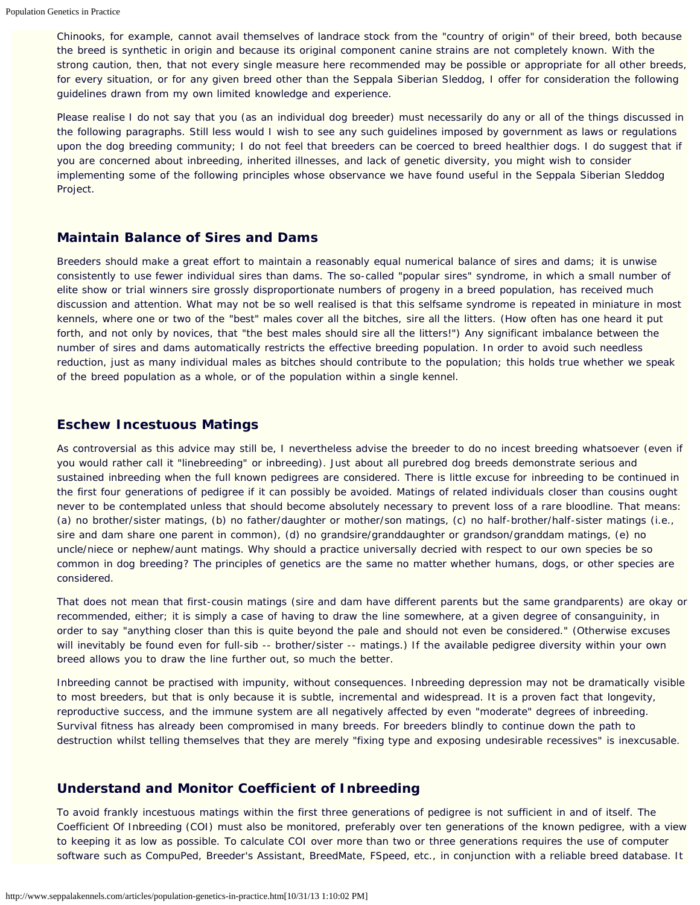Chinooks, for example, cannot avail themselves of landrace stock from the "country of origin" of their breed, both because the breed is synthetic in origin and because its original component canine strains are not completely known. With the strong caution, then, that not every single measure here recommended may be possible or appropriate for all other breeds, for every situation, or for any given breed other than the Seppala Siberian Sleddog, I offer for consideration the following guidelines drawn from my own limited knowledge and experience.

Please realise I do not say that you (as an individual dog breeder) must necessarily do any or all of the things discussed in the following paragraphs. Still less would I wish to see any such guidelines imposed by government as laws or regulations upon the dog breeding community; I do not feel that breeders can be coerced to breed healthier dogs. I do suggest that if you are concerned about inbreeding, inherited illnesses, and lack of genetic diversity, you might wish to consider implementing some of the following principles whose observance we have found useful in the Seppala Siberian Sleddog Project.

## **Maintain Balance of Sires and Dams**

Breeders should make a great effort to maintain a reasonably equal numerical balance of sires and dams; it is unwise consistently to use fewer individual sires than dams. The so-called "popular sires" syndrome, in which a small number of elite show or trial winners sire grossly disproportionate numbers of progeny in a breed population, has received much discussion and attention. What may not be so well realised is that this selfsame syndrome is repeated in miniature in most kennels, where one or two of the "best" males cover all the bitches, sire all the litters. (How often has one heard it put forth, and not only by novices, that "the best males should sire all the litters!") Any significant imbalance between the number of sires and dams automatically restricts the effective breeding population. In order to avoid such needless reduction, just as many individual males as bitches should contribute to the population; this holds true whether we speak of the breed population as a whole, or of the population within a single kennel.

#### **Eschew Incestuous Matings**

As controversial as this advice may still be, I nevertheless advise the breeder to do no incest breeding whatsoever (even if you would rather call it "linebreeding" or inbreeding). Just about all purebred dog breeds demonstrate serious and sustained inbreeding when the full known pedigrees are considered. There is little excuse for inbreeding to be continued in the first four generations of pedigree if it can possibly be avoided. Matings of related individuals closer than cousins ought never to be contemplated unless that should become absolutely necessary to prevent loss of a rare bloodline. That means: (a) no brother/sister matings, (b) no father/daughter or mother/son matings, (c) no half-brother/half-sister matings (i.e., sire and dam share one parent in common), (d) no grandsire/granddaughter or grandson/granddam matings, (e) no uncle/niece or nephew/aunt matings. Why should a practice universally decried with respect to our own species be so common in dog breeding? The principles of genetics are the same no matter whether humans, dogs, or other species are considered.

That does not mean that first-cousin matings (sire and dam have different parents but the same grandparents) are okay or recommended, either; it is simply a case of having to draw the line somewhere, at a given degree of consanguinity, in order to say "anything closer than this is quite beyond the pale and should not even be considered." (Otherwise excuses will inevitably be found even for full-sib -- brother/sister -- matings.) If the available pedigree diversity within your own breed allows you to draw the line further out, so much the better.

Inbreeding cannot be practised with impunity, without consequences. Inbreeding depression may not be dramatically visible to most breeders, but that is only because it is subtle, incremental and widespread. It is a proven fact that longevity, reproductive success, and the immune system are all negatively affected by even "moderate" degrees of inbreeding. Survival fitness has already been compromised in many breeds. For breeders blindly to continue down the path to destruction whilst telling themselves that they are merely "fixing type and exposing undesirable recessives" is inexcusable.

## **Understand and Monitor Coefficient of Inbreeding**

To avoid frankly incestuous matings within the first three generations of pedigree is not sufficient in and of itself. The Coefficient Of Inbreeding (COI) must also be monitored, preferably over ten generations of the known pedigree, with a view to keeping it as low as possible. To calculate COI over more than two or three generations requires the use of computer software such as CompuPed, Breeder's Assistant, BreedMate, FSpeed, etc., in conjunction with a reliable breed database. It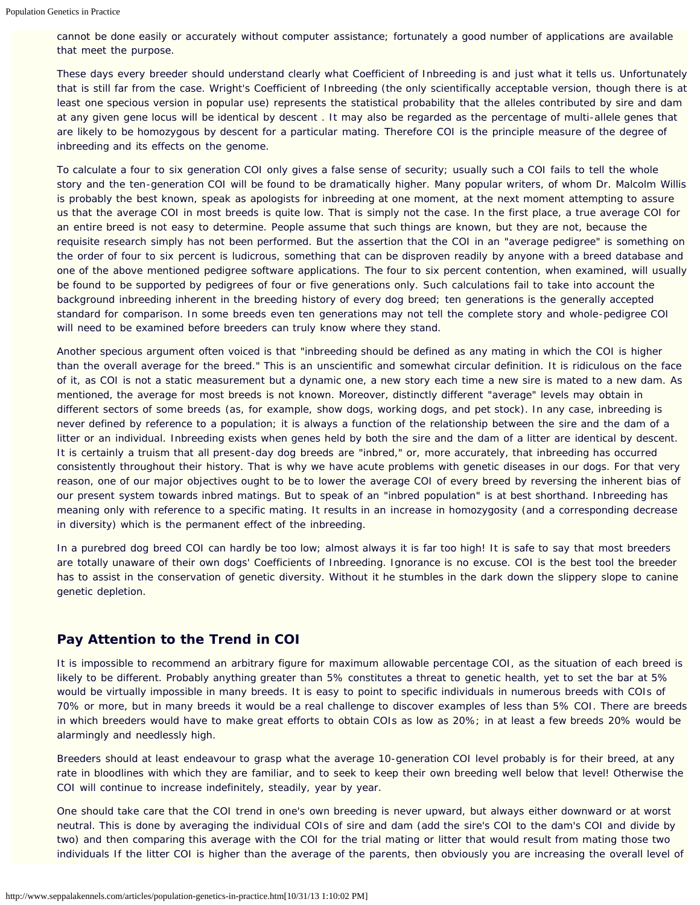cannot be done easily or accurately without computer assistance; fortunately a good number of applications are available that meet the purpose.

These days every breeder should understand clearly what Coefficient of Inbreeding is and just what it tells us. Unfortunately that is still far from the case. Wright's Coefficient of Inbreeding (the only scientifically acceptable version, though there is at least one specious version in popular use) represents the statistical probability that the alleles contributed by sire and dam at any given gene locus will be identical by descent . It may also be regarded as the percentage of multi-allele genes that are likely to be homozygous by descent for a particular mating. Therefore COI is the principle measure of the degree of inbreeding and its effects on the genome.

To calculate a four to six generation COI only gives a false sense of security; usually such a COI fails to tell the whole story and the ten-generation COI will be found to be dramatically higher. Many popular writers, of whom Dr. Malcolm Willis is probably the best known, speak as apologists for inbreeding at one moment, at the next moment attempting to assure us that the average COI in most breeds is quite low. That is simply not the case. In the first place, a true average COI for an entire breed is not easy to determine. People assume that such things are known, but they are not, because the requisite research simply has not been performed. But the assertion that the COI in an "average pedigree" is something on the order of four to six percent is ludicrous, something that can be disproven readily by anyone with a breed database and one of the above mentioned pedigree software applications. The four to six percent contention, when examined, will usually be found to be supported by pedigrees of four or five generations only. Such calculations fail to take into account the background inbreeding inherent in the breeding history of every dog breed; ten generations is the generally accepted standard for comparison. In some breeds even ten generations may not tell the complete story and whole-pedigree COI will need to be examined before breeders can truly know where they stand.

Another specious argument often voiced is that "inbreeding should be defined as any mating in which the COI is higher than the overall average for the breed." This is an unscientific and somewhat circular definition. It is ridiculous on the face of it, as COI is not a static measurement but a dynamic one, a new story each time a new sire is mated to a new dam. As mentioned, the average for most breeds is not known. Moreover, distinctly different "average" levels may obtain in different sectors of some breeds (as, for example, show dogs, working dogs, and pet stock). In any case, inbreeding is never defined by reference to a population; it is always a function of the relationship between the sire and the dam of a litter or an individual. Inbreeding exists when genes held by both the sire and the dam of a litter are identical by descent. It is certainly a truism that all present-day dog breeds are "inbred," or, more accurately, that inbreeding has occurred consistently throughout their history. That is why we have acute problems with genetic diseases in our dogs. For that very reason, one of our major objectives ought to be to lower the average COI of every breed by reversing the inherent bias of our present system towards inbred matings. But to speak of an "inbred population" is at best shorthand. Inbreeding has meaning only with reference to a specific mating. It results in an increase in homozygosity (and a corresponding decrease in diversity) which is the permanent effect of the inbreeding.

In a purebred dog breed COI can hardly be too low; almost always it is far too high! It is safe to say that most breeders are totally unaware of their own dogs' Coefficients of Inbreeding. Ignorance is no excuse. COI is the best tool the breeder has to assist in the conservation of genetic diversity. Without it he stumbles in the dark down the slippery slope to canine genetic depletion.

## **Pay Attention to the Trend in COI**

It is impossible to recommend an arbitrary figure for maximum allowable percentage COI, as the situation of each breed is likely to be different. Probably anything greater than 5% constitutes a threat to genetic health, yet to set the bar at 5% would be virtually impossible in many breeds. It is easy to point to specific individuals in numerous breeds with COIs of 70% or more, but in many breeds it would be a real challenge to discover examples of less than 5% COI. There are breeds in which breeders would have to make great efforts to obtain COIs as low as 20%; in at least a few breeds 20% would be alarmingly and needlessly high.

Breeders should at least endeavour to grasp what the average 10-generation COI level probably is for their breed, at any rate in bloodlines with which they are familiar, and to seek to keep their own breeding well below that level! Otherwise the COI will continue to increase indefinitely, steadily, year by year.

One should take care that the COI trend in one's own breeding is never upward, but always either downward or at worst neutral. This is done by averaging the individual COIs of sire and dam (add the sire's COI to the dam's COI and divide by two) and then comparing this average with the COI for the trial mating or litter that would result from mating those two individuals If the litter COI is higher than the average of the parents, then obviously you are increasing the overall level of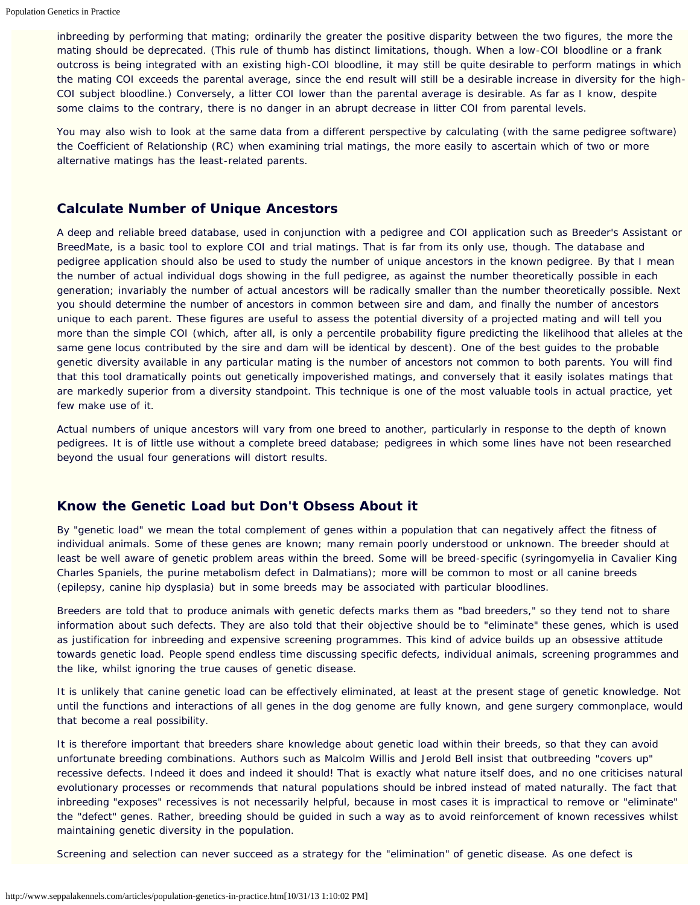inbreeding by performing that mating; ordinarily the greater the positive disparity between the two figures, the more the mating should be deprecated. (This rule of thumb has distinct limitations, though. When a low-COI bloodline or a frank outcross is being integrated with an existing high-COI bloodline, it may still be quite desirable to perform matings in which the mating COI exceeds the parental average, since the end result will still be a desirable increase in diversity for the high-COI subject bloodline.) Conversely, a litter COI lower than the parental average is desirable. As far as I know, despite some claims to the contrary, there is no danger in an abrupt decrease in litter COI from parental levels.

You may also wish to look at the same data from a different perspective by calculating (with the same pedigree software) the Coefficient of Relationship (RC) when examining trial matings, the more easily to ascertain which of two or more alternative matings has the least-related parents.

## **Calculate Number of Unique Ancestors**

A deep and reliable breed database, used in conjunction with a pedigree and COI application such as Breeder's Assistant or BreedMate, is a basic tool to explore COI and trial matings. That is far from its only use, though. The database and pedigree application should also be used to study the number of unique ancestors in the known pedigree. By that I mean the number of actual individual dogs showing in the full pedigree, as against the number theoretically possible in each generation; invariably the number of actual ancestors will be radically smaller than the number theoretically possible. Next you should determine the number of ancestors in common between sire and dam, and finally the number of ancestors unique to each parent. These figures are useful to assess the potential diversity of a projected mating and will tell you more than the simple COI (which, after all, is only a percentile probability figure predicting the likelihood that alleles at the same gene locus contributed by the sire and dam will be identical by descent). One of the best guides to the probable genetic diversity available in any particular mating is the number of ancestors not common to both parents. You will find that this tool dramatically points out genetically impoverished matings, and conversely that it easily isolates matings that are markedly superior from a diversity standpoint. This technique is one of the most valuable tools in actual practice, yet few make use of it.

Actual numbers of unique ancestors will vary from one breed to another, particularly in response to the depth of known pedigrees. It is of little use without a complete breed database; pedigrees in which some lines have not been researched beyond the usual four generations will distort results.

## **Know the Genetic Load but Don't Obsess About it**

By "genetic load" we mean the total complement of genes within a population that can negatively affect the fitness of individual animals. Some of these genes are known; many remain poorly understood or unknown. The breeder should at least be well aware of genetic problem areas within the breed. Some will be breed-specific (syringomyelia in Cavalier King Charles Spaniels, the purine metabolism defect in Dalmatians); more will be common to most or all canine breeds (epilepsy, canine hip dysplasia) but in some breeds may be associated with particular bloodlines.

Breeders are told that to produce animals with genetic defects marks them as "bad breeders," so they tend not to share information about such defects. They are also told that their objective should be to "eliminate" these genes, which is used as justification for inbreeding and expensive screening programmes. This kind of advice builds up an obsessive attitude towards genetic load. People spend endless time discussing specific defects, individual animals, screening programmes and the like, whilst ignoring the true causes of genetic disease.

It is unlikely that canine genetic load can be effectively eliminated, at least at the present stage of genetic knowledge. Not until the functions and interactions of all genes in the dog genome are fully known, and gene surgery commonplace, would that become a real possibility.

It is therefore important that breeders share knowledge about genetic load within their breeds, so that they can avoid unfortunate breeding combinations. Authors such as Malcolm Willis and Jerold Bell insist that outbreeding "covers up" recessive defects. Indeed it does and indeed it should! That is exactly what nature itself does, and no one criticises natural evolutionary processes or recommends that natural populations should be inbred instead of mated naturally. The fact that inbreeding "exposes" recessives is not necessarily helpful, because in most cases it is impractical to remove or "eliminate" the "defect" genes. Rather, breeding should be guided in such a way as to avoid reinforcement of known recessives whilst maintaining genetic diversity in the population.

Screening and selection can never succeed as a strategy for the "elimination" of genetic disease. As one defect is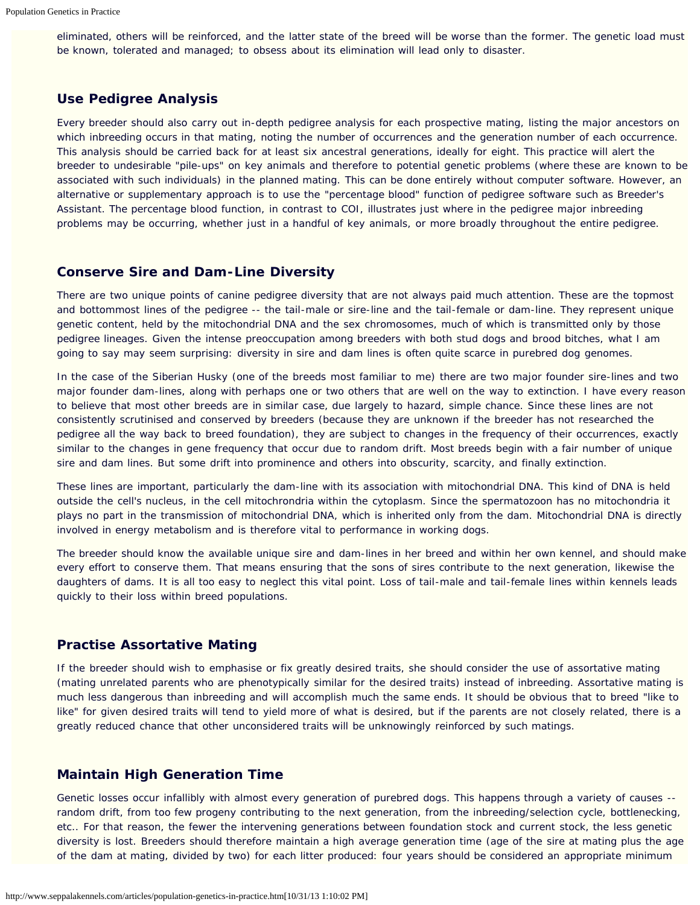eliminated, others will be reinforced, and the latter state of the breed will be worse than the former. The genetic load must be known, tolerated and managed; to obsess about its elimination will lead only to disaster.

## **Use Pedigree Analysis**

Every breeder should also carry out in-depth pedigree analysis for each prospective mating, listing the major ancestors on which inbreeding occurs in that mating, noting the number of occurrences and the generation number of each occurrence. This analysis should be carried back for at least six ancestral generations, ideally for eight. This practice will alert the breeder to undesirable "pile-ups" on key animals and therefore to potential genetic problems (where these are known to be associated with such individuals) in the planned mating. This can be done entirely without computer software. However, an alternative or supplementary approach is to use the "percentage blood" function of pedigree software such as Breeder's Assistant. The percentage blood function, in contrast to COI, illustrates just where in the pedigree major inbreeding problems may be occurring, whether just in a handful of key animals, or more broadly throughout the entire pedigree.

#### **Conserve Sire and Dam-Line Diversity**

There are two unique points of canine pedigree diversity that are not always paid much attention. These are the topmost and bottommost lines of the pedigree -- the tail-male or sire-line and the tail-female or dam-line. They represent unique genetic content, held by the mitochondrial DNA and the sex chromosomes, much of which is transmitted only by those pedigree lineages. Given the intense preoccupation among breeders with both stud dogs and brood bitches, what I am going to say may seem surprising: diversity in sire and dam lines is often quite scarce in purebred dog genomes.

In the case of the Siberian Husky (one of the breeds most familiar to me) there are two major founder sire-lines and two major founder dam-lines, along with perhaps one or two others that are well on the way to extinction. I have every reason to believe that most other breeds are in similar case, due largely to hazard, simple chance. Since these lines are not consistently scrutinised and conserved by breeders (because they are unknown if the breeder has not researched the pedigree all the way back to breed foundation), they are subject to changes in the frequency of their occurrences, exactly similar to the changes in gene frequency that occur due to random drift. Most breeds begin with a fair number of unique sire and dam lines. But some drift into prominence and others into obscurity, scarcity, and finally extinction.

These lines are important, particularly the dam-line with its association with mitochondrial DNA. This kind of DNA is held outside the cell's nucleus, in the cell mitochrondria within the cytoplasm. Since the spermatozoon has no mitochondria it plays no part in the transmission of mitochondrial DNA, which is inherited only from the dam. Mitochondrial DNA is directly involved in energy metabolism and is therefore vital to performance in working dogs.

The breeder should know the available unique sire and dam-lines in her breed and within her own kennel, and should make every effort to conserve them. That means ensuring that the sons of sires contribute to the next generation, likewise the daughters of dams. It is all too easy to neglect this vital point. Loss of tail-male and tail-female lines within kennels leads quickly to their loss within breed populations.

## **Practise Assortative Mating**

If the breeder should wish to emphasise or fix greatly desired traits, she should consider the use of assortative mating (mating unrelated parents who are phenotypically similar for the desired traits) instead of inbreeding. Assortative mating is much less dangerous than inbreeding and will accomplish much the same ends. It should be obvious that to breed "like to like" for given desired traits will tend to yield more of what is desired, but if the parents are not closely related, there is a greatly reduced chance that other unconsidered traits will be unknowingly reinforced by such matings.

#### **Maintain High Generation Time**

Genetic losses occur infallibly with almost every generation of purebred dogs. This happens through a variety of causes - random drift, from too few progeny contributing to the next generation, from the inbreeding/selection cycle, bottlenecking, etc.. For that reason, the fewer the intervening generations between foundation stock and current stock, the less genetic diversity is lost. Breeders should therefore maintain a high average generation time (age of the sire at mating plus the age of the dam at mating, divided by two) for each litter produced: four years should be considered an appropriate minimum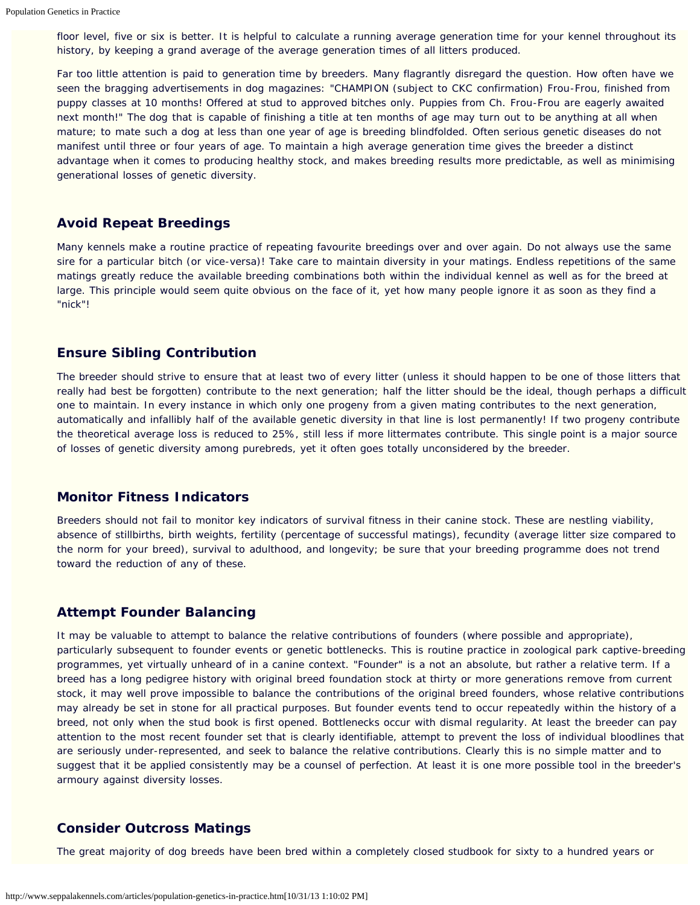floor level, five or six is better. It is helpful to calculate a running average generation time for your kennel throughout its history, by keeping a grand average of the average generation times of all litters produced.

Far too little attention is paid to generation time by breeders. Many flagrantly disregard the question. How often have we seen the bragging advertisements in dog magazines: "CHAMPION (subject to CKC confirmation) Frou-Frou, finished from puppy classes at 10 months! Offered at stud to approved bitches only. Puppies from Ch. Frou-Frou are eagerly awaited next month!" The dog that is capable of finishing a title at ten months of age may turn out to be anything at all when mature; to mate such a dog at less than one year of age is breeding blindfolded. Often serious genetic diseases do not manifest until three or four years of age. To maintain a high average generation time gives the breeder a distinct advantage when it comes to producing healthy stock, and makes breeding results more predictable, as well as minimising generational losses of genetic diversity.

## **Avoid Repeat Breedings**

Many kennels make a routine practice of repeating favourite breedings over and over again. Do not always use the same sire for a particular bitch (or vice-versa)! Take care to maintain diversity in your matings. Endless repetitions of the same matings greatly reduce the available breeding combinations both within the individual kennel as well as for the breed at large. This principle would seem quite obvious on the face of it, yet how many people ignore it as soon as they find a "nick"!

## **Ensure Sibling Contribution**

The breeder should strive to ensure that at least two of every litter (unless it should happen to be one of those litters that really had best be forgotten) contribute to the next generation; half the litter should be the ideal, though perhaps a difficult one to maintain. In every instance in which only one progeny from a given mating contributes to the next generation, automatically and infallibly half of the available genetic diversity in that line is lost permanently! If two progeny contribute the theoretical average loss is reduced to 25%, still less if more littermates contribute. This single point is a major source of losses of genetic diversity among purebreds, yet it often goes totally unconsidered by the breeder.

## **Monitor Fitness Indicators**

Breeders should not fail to monitor key indicators of survival fitness in their canine stock. These are nestling viability, absence of stillbirths, birth weights, fertility (percentage of successful matings), fecundity (average litter size compared to the norm for your breed), survival to adulthood, and longevity; be sure that your breeding programme does not trend toward the reduction of any of these.

## **Attempt Founder Balancing**

It may be valuable to attempt to balance the relative contributions of founders (where possible and appropriate), particularly subsequent to founder events or genetic bottlenecks. This is routine practice in zoological park captive-breeding programmes, yet virtually unheard of in a canine context. "Founder" is a not an absolute, but rather a relative term. If a breed has a long pedigree history with original breed foundation stock at thirty or more generations remove from current stock, it may well prove impossible to balance the contributions of the original breed founders, whose relative contributions may already be set in stone for all practical purposes. But founder events tend to occur repeatedly within the history of a breed, not only when the stud book is first opened. Bottlenecks occur with dismal regularity. At least the breeder can pay attention to the most recent founder set that is clearly identifiable, attempt to prevent the loss of individual bloodlines that are seriously under-represented, and seek to balance the relative contributions. Clearly this is no simple matter and to suggest that it be applied consistently may be a counsel of perfection. At least it is one more possible tool in the breeder's armoury against diversity losses.

## **Consider Outcross Matings**

The great majority of dog breeds have been bred within a completely closed studbook for sixty to a hundred years or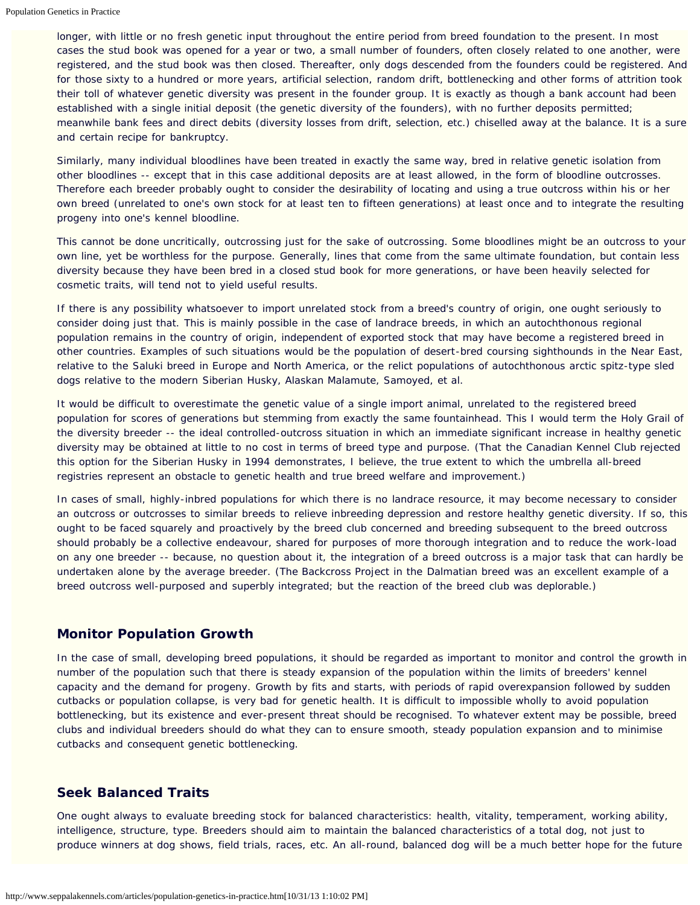longer, with little or no fresh genetic input throughout the entire period from breed foundation to the present. In most cases the stud book was opened for a year or two, a small number of founders, often closely related to one another, were registered, and the stud book was then closed. Thereafter, only dogs descended from the founders could be registered. And for those sixty to a hundred or more years, artificial selection, random drift, bottlenecking and other forms of attrition took their toll of whatever genetic diversity was present in the founder group. It is exactly as though a bank account had been established with a single initial deposit (the genetic diversity of the founders), with no further deposits permitted; meanwhile bank fees and direct debits (diversity losses from drift, selection, etc.) chiselled away at the balance. It is a sure and certain recipe for bankruptcy.

Similarly, many individual bloodlines have been treated in exactly the same way, bred in relative genetic isolation from other bloodlines -- except that in this case additional deposits are at least allowed, in the form of bloodline outcrosses. Therefore each breeder probably ought to consider the desirability of locating and using a true outcross within his or her own breed (unrelated to one's own stock for at least ten to fifteen generations) at least once and to integrate the resulting progeny into one's kennel bloodline.

This cannot be done uncritically, outcrossing just for the sake of outcrossing. Some bloodlines might be an outcross to your own line, yet be worthless for the purpose. Generally, lines that come from the same ultimate foundation, but contain less diversity because they have been bred in a closed stud book for more generations, or have been heavily selected for cosmetic traits, will tend not to yield useful results.

If there is any possibility whatsoever to import unrelated stock from a breed's country of origin, one ought seriously to consider doing just that. This is mainly possible in the case of landrace breeds, in which an autochthonous regional population remains in the country of origin, independent of exported stock that may have become a registered breed in other countries. Examples of such situations would be the population of desert-bred coursing sighthounds in the Near East, relative to the Saluki breed in Europe and North America, or the relict populations of autochthonous arctic spitz-type sled dogs relative to the modern Siberian Husky, Alaskan Malamute, Samoyed, et al.

It would be difficult to overestimate the genetic value of a single import animal, unrelated to the registered breed population for scores of generations but stemming from exactly the same fountainhead. This I would term the Holy Grail of the diversity breeder -- the ideal controlled-outcross situation in which an immediate significant increase in healthy genetic diversity may be obtained at little to no cost in terms of breed type and purpose. (That the Canadian Kennel Club rejected this option for the Siberian Husky in 1994 demonstrates, I believe, the true extent to which the umbrella all-breed registries represent an obstacle to genetic health and true breed welfare and improvement.)

In cases of small, highly-inbred populations for which there is no landrace resource, it may become necessary to consider an outcross or outcrosses to similar breeds to relieve inbreeding depression and restore healthy genetic diversity. If so, this ought to be faced squarely and proactively by the breed club concerned and breeding subsequent to the breed outcross should probably be a collective endeavour, shared for purposes of more thorough integration and to reduce the work-load on any one breeder -- because, no question about it, the integration of a breed outcross is a major task that can hardly be undertaken alone by the average breeder. (The Backcross Project in the Dalmatian breed was an excellent example of a breed outcross well-purposed and superbly integrated; but the reaction of the breed club was deplorable.)

## **Monitor Population Growth**

In the case of small, developing breed populations, it should be regarded as important to monitor and control the growth in number of the population such that there is steady expansion of the population within the limits of breeders' kennel capacity and the demand for progeny. Growth by fits and starts, with periods of rapid overexpansion followed by sudden cutbacks or population collapse, is very bad for genetic health. It is difficult to impossible wholly to avoid population bottlenecking, but its existence and ever-present threat should be recognised. To whatever extent may be possible, breed clubs and individual breeders should do what they can to ensure smooth, steady population expansion and to minimise cutbacks and consequent genetic bottlenecking.

## **Seek Balanced Traits**

One ought always to evaluate breeding stock for balanced characteristics: health, vitality, temperament, working ability, intelligence, structure, type. Breeders should aim to maintain the balanced characteristics of a total dog, not just to produce winners at dog shows, field trials, races, etc. An all-round, balanced dog will be a much better hope for the future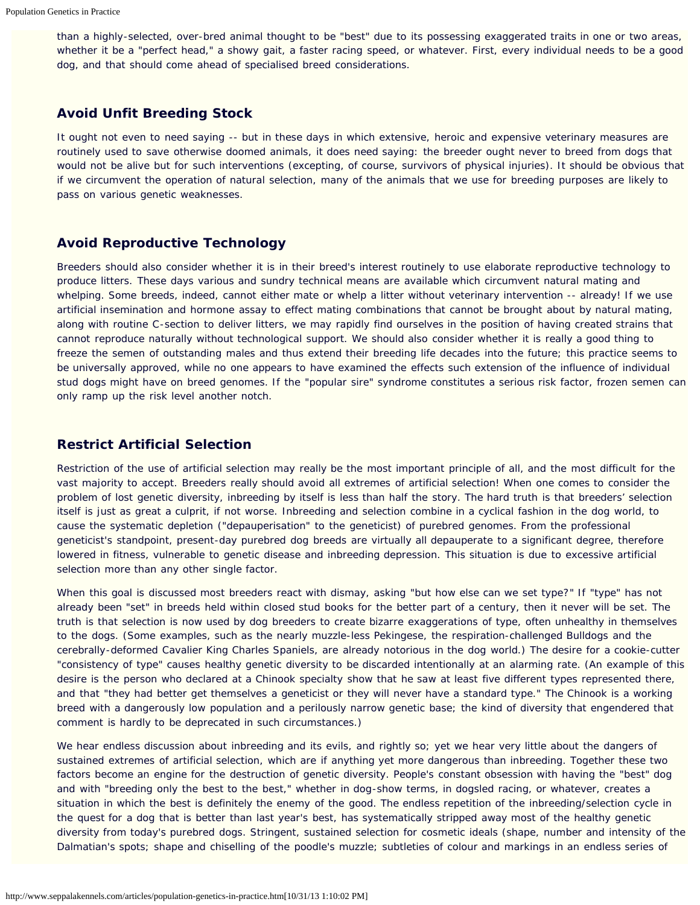than a highly-selected, over-bred animal thought to be "best" due to its possessing exaggerated traits in one or two areas, whether it be a "perfect head," a showy gait, a faster racing speed, or whatever. First, every individual needs to be a good dog, and that should come ahead of specialised breed considerations.

## **Avoid Unfit Breeding Stock**

It ought not even to need saying -- but in these days in which extensive, heroic and expensive veterinary measures are routinely used to save otherwise doomed animals, it does need saying: the breeder ought never to breed from dogs that would not be alive but for such interventions (excepting, of course, survivors of physical injuries). It should be obvious that if we circumvent the operation of natural selection, many of the animals that we use for breeding purposes are likely to pass on various genetic weaknesses.

## **Avoid Reproductive Technology**

Breeders should also consider whether it is in their breed's interest routinely to use elaborate reproductive technology to produce litters. These days various and sundry technical means are available which circumvent natural mating and whelping. Some breeds, indeed, cannot either mate or whelp a litter without veterinary intervention -- already! If we use artificial insemination and hormone assay to effect mating combinations that cannot be brought about by natural mating, along with routine C-section to deliver litters, we may rapidly find ourselves in the position of having created strains that cannot reproduce naturally without technological support. We should also consider whether it is really a good thing to freeze the semen of outstanding males and thus extend their breeding life decades into the future; this practice seems to be universally approved, while no one appears to have examined the effects such extension of the influence of individual stud dogs might have on breed genomes. If the "popular sire" syndrome constitutes a serious risk factor, frozen semen can only ramp up the risk level another notch.

#### **Restrict Artificial Selection**

Restriction of the use of artificial selection may really be the most important principle of all, and the most difficult for the vast majority to accept. Breeders really should avoid all extremes of artificial selection! When one comes to consider the problem of lost genetic diversity, inbreeding by itself is less than half the story. The hard truth is that breeders' selection itself is just as great a culprit, if not worse. Inbreeding and selection combine in a cyclical fashion in the dog world, to cause the systematic depletion ("depauperisation" to the geneticist) of purebred genomes. From the professional geneticist's standpoint, present-day purebred dog breeds are virtually all depauperate to a significant degree, therefore lowered in fitness, vulnerable to genetic disease and inbreeding depression. This situation is due to excessive artificial selection more than any other single factor.

When this goal is discussed most breeders react with dismay, asking "but how else can we set type?" If "type" has not already been "set" in breeds held within closed stud books for the better part of a century, then it never will be set. The truth is that selection is now used by dog breeders to create bizarre exaggerations of type, often unhealthy in themselves to the dogs. (Some examples, such as the nearly muzzle-less Pekingese, the respiration-challenged Bulldogs and the cerebrally-deformed Cavalier King Charles Spaniels, are already notorious in the dog world.) The desire for a cookie-cutter "consistency of type" causes healthy genetic diversity to be discarded intentionally at an alarming rate. (An example of this desire is the person who declared at a Chinook specialty show that he saw at least five different types represented there, and that "they had better get themselves a geneticist or they will never have a standard type." The Chinook is a working breed with a dangerously low population and a perilously narrow genetic base; the kind of diversity that engendered that comment is hardly to be deprecated in such circumstances.)

We hear endless discussion about inbreeding and its evils, and rightly so; yet we hear very little about the dangers of sustained extremes of artificial selection, which are if anything yet more dangerous than inbreeding. Together these two factors become an engine for the destruction of genetic diversity. People's constant obsession with having the "best" dog and with "breeding only the best to the best," whether in dog-show terms, in dogsled racing, or whatever, creates a situation in which the best is definitely the enemy of the good. The endless repetition of the inbreeding/selection cycle in the quest for a dog that is better than last year's best, has systematically stripped away most of the healthy genetic diversity from today's purebred dogs. Stringent, sustained selection for cosmetic ideals (shape, number and intensity of the Dalmatian's spots; shape and chiselling of the poodle's muzzle; subtleties of colour and markings in an endless series of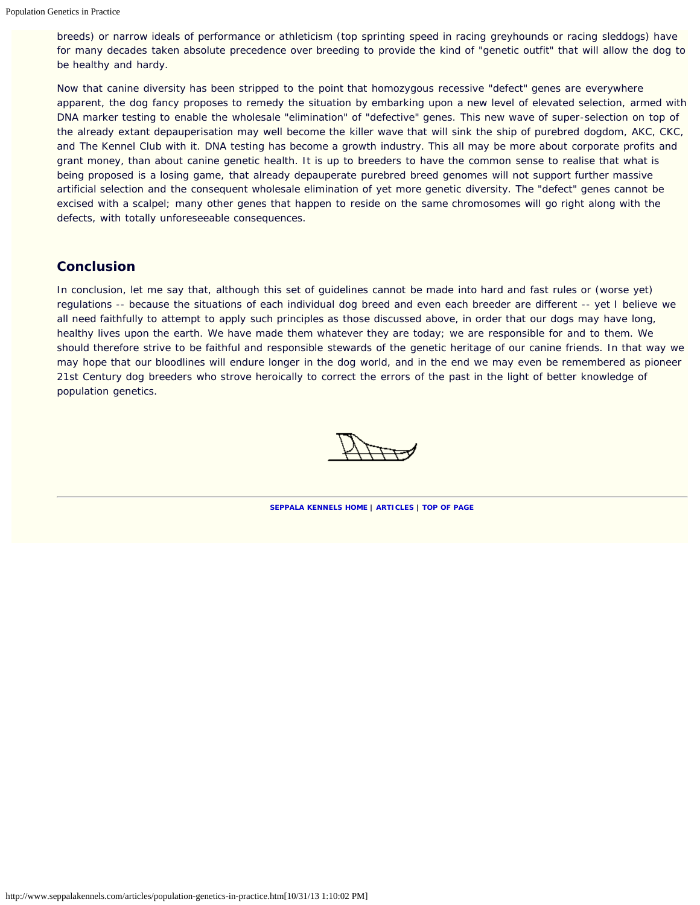breeds) or narrow ideals of performance or athleticism (top sprinting speed in racing greyhounds or racing sleddogs) have for many decades taken absolute precedence over breeding to provide the kind of "genetic outfit" that will allow the dog to be healthy and hardy.

Now that canine diversity has been stripped to the point that homozygous recessive "defect" genes are everywhere apparent, the dog fancy proposes to remedy the situation by embarking upon a new level of elevated selection, armed with DNA marker testing to enable the wholesale "elimination" of "defective" genes. This new wave of super-selection on top of the already extant depauperisation may well become the killer wave that will sink the ship of purebred dogdom, AKC, CKC, and The Kennel Club with it. DNA testing has become a growth industry. This all may be more about corporate profits and grant money, than about canine genetic health. It is up to breeders to have the common sense to realise that what is being proposed is a losing game, that already depauperate purebred breed genomes will not support further massive artificial selection and the consequent wholesale elimination of yet more genetic diversity. The "defect" genes cannot be excised with a scalpel; many other genes that happen to reside on the same chromosomes will go right along with the defects, with totally unforeseeable consequences.

## **Conclusion**

In conclusion, let me say that, although this set of guidelines cannot be made into hard and fast rules or (worse yet) regulations -- because the situations of each individual dog breed and even each breeder are different -- yet I believe we all need faithfully to attempt to apply such principles as those discussed above, in order that our dogs may have long, healthy lives upon the earth. We have made them whatever they are today; we are responsible for and to them. We should therefore strive to be faithful and responsible stewards of the genetic heritage of our canine friends. In that way we may hope that our bloodlines will endure longer in the dog world, and in the end we may even be remembered as pioneer 21st Century dog breeders who strove heroically to correct the errors of the past in the light of better knowledge of population genetics.

**[SEPPALA KENNELS HOME](http://www.seppalakennels.com/index.htm) | [ARTICLES](http://www.seppalakennels.com/jeffreys-articles.htm) | TOP OF [PAGE](#page-0-0)**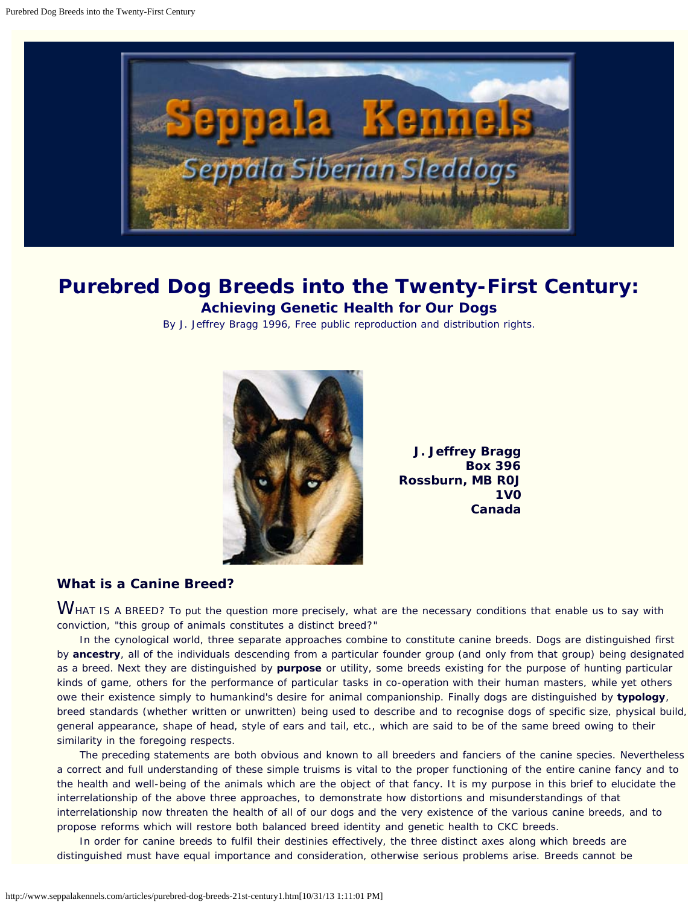<span id="page-9-0"></span>

## **Purebred Dog Breeds into the Twenty-First Century: Achieving Genetic Health for Our Dogs**

By J. Jeffrey Bragg 1996, Free public reproduction and distribution rights.



**J. Jeffrey Bragg Box 396 Rossburn, MB R0J 1V0 Canada**

## **What is a Canine Breed?**

WHAT IS A BREED? To put the question more precisely, what are the necessary conditions that enable us to say with conviction, "this group of animals constitutes a distinct breed?"

 In the cynological world, three separate approaches combine to constitute canine breeds. Dogs are distinguished first by **ancestry**, all of the individuals descending from a particular founder group (and only from that group) being designated as a breed. Next they are distinguished by **purpose** or utility, some breeds existing for the purpose of hunting particular kinds of game, others for the performance of particular tasks in co-operation with their human masters, while yet others owe their existence simply to humankind's desire for animal companionship. Finally dogs are distinguished by **typology**, breed standards (whether written or unwritten) being used to describe and to recognise dogs of specific size, physical build, general appearance, shape of head, style of ears and tail, etc., which are said to be of the same breed owing to their similarity in the foregoing respects.

 The preceding statements are both obvious and known to all breeders and fanciers of the canine species. Nevertheless a correct and full understanding of these simple truisms is vital to the proper functioning of the entire canine fancy and to the health and well-being of the animals which are the object of that fancy. It is my purpose in this brief to elucidate the interrelationship of the above three approaches, to demonstrate how distortions and misunderstandings of that interrelationship now threaten the health of all of our dogs and the very existence of the various canine breeds, and to propose reforms which will restore both balanced breed identity and genetic health to CKC breeds.

In order for canine breeds to fulfil their destinies effectively, the three distinct axes along which breeds are distinguished must have equal importance and consideration, otherwise serious problems arise. Breeds cannot be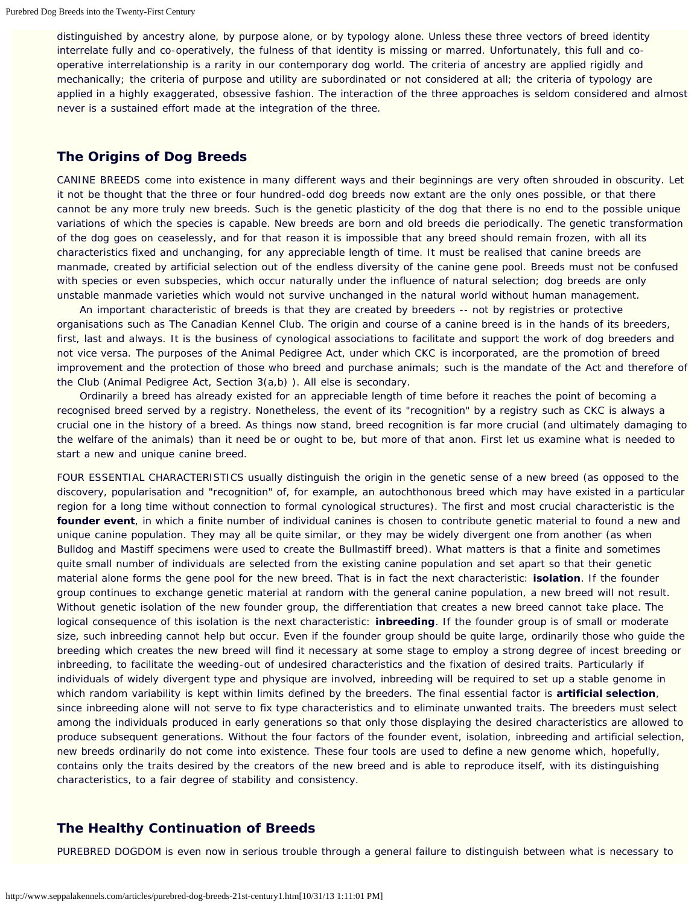distinguished by ancestry alone, by purpose alone, or by typology alone. Unless these three vectors of breed identity interrelate fully and co-operatively, the fulness of that identity is missing or marred. Unfortunately, this full and cooperative interrelationship is a rarity in our contemporary dog world. The criteria of ancestry are applied rigidly and mechanically; the criteria of purpose and utility are subordinated or not considered at all; the criteria of typology are applied in a highly exaggerated, obsessive fashion. The interaction of the three approaches is seldom considered and almost never is a sustained effort made at the integration of the three.

## **The Origins of Dog Breeds**

CANINE BREEDS come into existence in many different ways and their beginnings are very often shrouded in obscurity. Let it not be thought that the three or four hundred-odd dog breeds now extant are the only ones possible, or that there cannot be any more truly new breeds. Such is the genetic plasticity of the dog that there is no end to the possible unique variations of which the species is capable. New breeds are born and old breeds die periodically. The genetic transformation of the dog goes on ceaselessly, and for that reason it is impossible that any breed should remain frozen, with all its characteristics fixed and unchanging, for any appreciable length of time. It must be realised that canine breeds are manmade, created by artificial selection out of the endless diversity of the canine gene pool. Breeds must not be confused with species or even subspecies, which occur naturally under the influence of natural selection; dog breeds are only unstable manmade varieties which would not survive unchanged in the natural world without human management.

 An important characteristic of breeds is that they are created by breeders -- not by registries or protective organisations such as The Canadian Kennel Club. The origin and course of a canine breed is in the hands of its breeders, first, last and always. It is the business of cynological associations to facilitate and support the work of dog breeders and not vice versa. The purposes of the Animal Pedigree Act, under which CKC is incorporated, are the promotion of breed improvement and the protection of those who breed and purchase animals; such is the mandate of the Act and therefore of the Club (Animal Pedigree Act, Section 3(a,b) ). All else is secondary.

 Ordinarily a breed has already existed for an appreciable length of time before it reaches the point of becoming a recognised breed served by a registry. Nonetheless, the event of its "recognition" by a registry such as CKC is always a crucial one in the history of a breed. As things now stand, breed recognition is far more crucial (and ultimately damaging to the welfare of the animals) than it need be or ought to be, but more of that anon. First let us examine what is needed to start a new and unique canine breed.

FOUR ESSENTIAL CHARACTERISTICS usually distinguish the origin in the genetic sense of a new breed (as opposed to the discovery, popularisation and "recognition" of, for example, an autochthonous breed which may have existed in a particular region for a long time without connection to formal cynological structures). The first and most crucial characteristic is the **founder event**, in which a finite number of individual canines is chosen to contribute genetic material to found a new and unique canine population. They may all be quite similar, or they may be widely divergent one from another (as when Bulldog and Mastiff specimens were used to create the Bullmastiff breed). What matters is that a finite and sometimes quite small number of individuals are selected from the existing canine population and set apart so that their genetic material alone forms the gene pool for the new breed. That is in fact the next characteristic: **isolation**. If the founder group continues to exchange genetic material at random with the general canine population, a new breed will not result. Without genetic isolation of the new founder group, the differentiation that creates a new breed cannot take place. The logical consequence of this isolation is the next characteristic: **inbreeding**. If the founder group is of small or moderate size, such inbreeding cannot help but occur. Even if the founder group should be quite large, ordinarily those who guide the breeding which creates the new breed will find it necessary at some stage to employ a strong degree of incest breeding or inbreeding, to facilitate the weeding-out of undesired characteristics and the fixation of desired traits. Particularly if individuals of widely divergent type and physique are involved, inbreeding will be required to set up a stable genome in which random variability is kept within limits defined by the breeders. The final essential factor is **artificial selection**, since inbreeding alone will not serve to fix type characteristics and to eliminate unwanted traits. The breeders must select among the individuals produced in early generations so that only those displaying the desired characteristics are allowed to produce subsequent generations. Without the four factors of the founder event, isolation, inbreeding and artificial selection, new breeds ordinarily do not come into existence. These four tools are used to define a new genome which, hopefully, contains only the traits desired by the creators of the new breed and is able to reproduce itself, with its distinguishing characteristics, to a fair degree of stability and consistency.

## **The Healthy Continuation of Breeds**

PUREBRED DOGDOM is even now in serious trouble through a general failure to distinguish between what is necessary to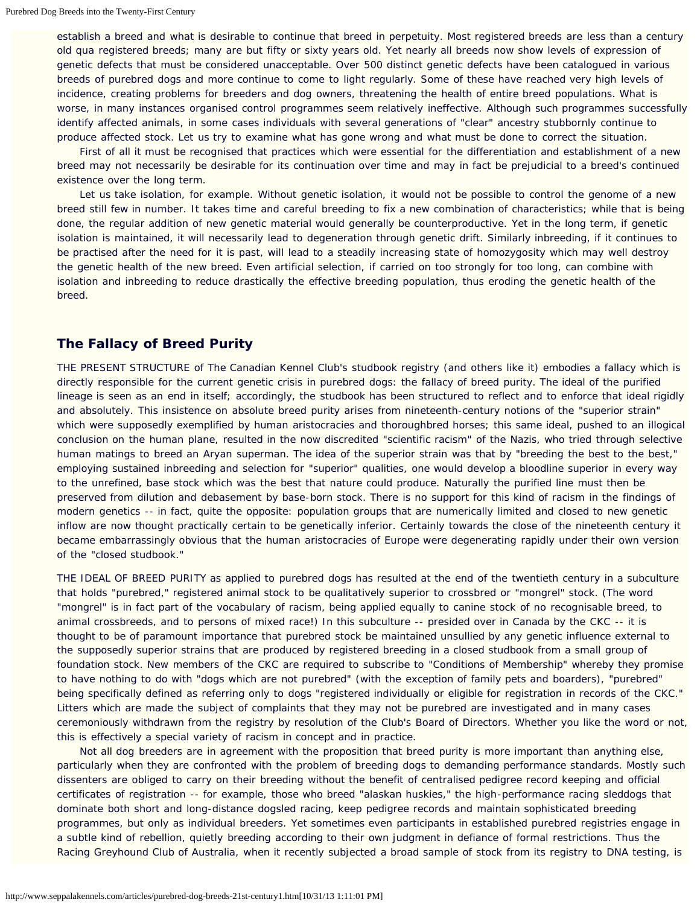establish a breed and what is desirable to continue that breed in perpetuity. Most registered breeds are less than a century old qua registered breeds; many are but fifty or sixty years old. Yet nearly all breeds now show levels of expression of genetic defects that must be considered unacceptable. Over 500 distinct genetic defects have been catalogued in various breeds of purebred dogs and more continue to come to light regularly. Some of these have reached very high levels of incidence, creating problems for breeders and dog owners, threatening the health of entire breed populations. What is worse, in many instances organised control programmes seem relatively ineffective. Although such programmes successfully identify affected animals, in some cases individuals with several generations of "clear" ancestry stubbornly continue to produce affected stock. Let us try to examine what has gone wrong and what must be done to correct the situation.

 First of all it must be recognised that practices which were essential for the differentiation and establishment of a new breed may not necessarily be desirable for its continuation over time and may in fact be prejudicial to a breed's continued existence over the long term.

Let us take isolation, for example. Without genetic isolation, it would not be possible to control the genome of a new breed still few in number. It takes time and careful breeding to fix a new combination of characteristics; while that is being done, the regular addition of new genetic material would generally be counterproductive. Yet in the long term, if genetic isolation is maintained, it will necessarily lead to degeneration through genetic drift. Similarly inbreeding, if it continues to be practised after the need for it is past, will lead to a steadily increasing state of homozygosity which may well destroy the genetic health of the new breed. Even artificial selection, if carried on too strongly for too long, can combine with isolation and inbreeding to reduce drastically the effective breeding population, thus eroding the genetic health of the breed.

## **The Fallacy of Breed Purity**

THE PRESENT STRUCTURE of The Canadian Kennel Club's studbook registry (and others like it) embodies a fallacy which is directly responsible for the current genetic crisis in purebred dogs: the fallacy of breed purity. The ideal of the purified lineage is seen as an end in itself; accordingly, the studbook has been structured to reflect and to enforce that ideal rigidly and absolutely. This insistence on absolute breed purity arises from nineteenth-century notions of the "superior strain" which were supposedly exemplified by human aristocracies and thoroughbred horses; this same ideal, pushed to an illogical conclusion on the human plane, resulted in the now discredited "scientific racism" of the Nazis, who tried through selective human matings to breed an Aryan superman. The idea of the superior strain was that by "breeding the best to the best," employing sustained inbreeding and selection for "superior" qualities, one would develop a bloodline superior in every way to the unrefined, base stock which was the best that nature could produce. Naturally the purified line must then be preserved from dilution and debasement by base-born stock. There is no support for this kind of racism in the findings of modern genetics -- in fact, quite the opposite: population groups that are numerically limited and closed to new genetic inflow are now thought practically certain to be genetically inferior. Certainly towards the close of the nineteenth century it became embarrassingly obvious that the human aristocracies of Europe were degenerating rapidly under their own version of the "closed studbook."

THE IDEAL OF BREED PURITY as applied to purebred dogs has resulted at the end of the twentieth century in a subculture that holds "purebred," registered animal stock to be qualitatively superior to crossbred or "mongrel" stock. (The word "mongrel" is in fact part of the vocabulary of racism, being applied equally to canine stock of no recognisable breed, to animal crossbreeds, and to persons of mixed race!) In this subculture -- presided over in Canada by the CKC -- it is thought to be of paramount importance that purebred stock be maintained unsullied by any genetic influence external to the supposedly superior strains that are produced by registered breeding in a closed studbook from a small group of foundation stock. New members of the CKC are required to subscribe to "Conditions of Membership" whereby they promise to have nothing to do with "dogs which are not purebred" (with the exception of family pets and boarders), "purebred" being specifically defined as referring only to dogs "registered individually or eligible for registration in records of the CKC." Litters which are made the subject of complaints that they may not be purebred are investigated and in many cases ceremoniously withdrawn from the registry by resolution of the Club's Board of Directors. Whether you like the word or not, this is effectively a special variety of racism in concept and in practice.

 Not all dog breeders are in agreement with the proposition that breed purity is more important than anything else, particularly when they are confronted with the problem of breeding dogs to demanding performance standards. Mostly such dissenters are obliged to carry on their breeding without the benefit of centralised pedigree record keeping and official certificates of registration -- for example, those who breed "alaskan huskies," the high-performance racing sleddogs that dominate both short and long-distance dogsled racing, keep pedigree records and maintain sophisticated breeding programmes, but only as individual breeders. Yet sometimes even participants in established purebred registries engage in a subtle kind of rebellion, quietly breeding according to their own judgment in defiance of formal restrictions. Thus the Racing Greyhound Club of Australia, when it recently subjected a broad sample of stock from its registry to DNA testing, is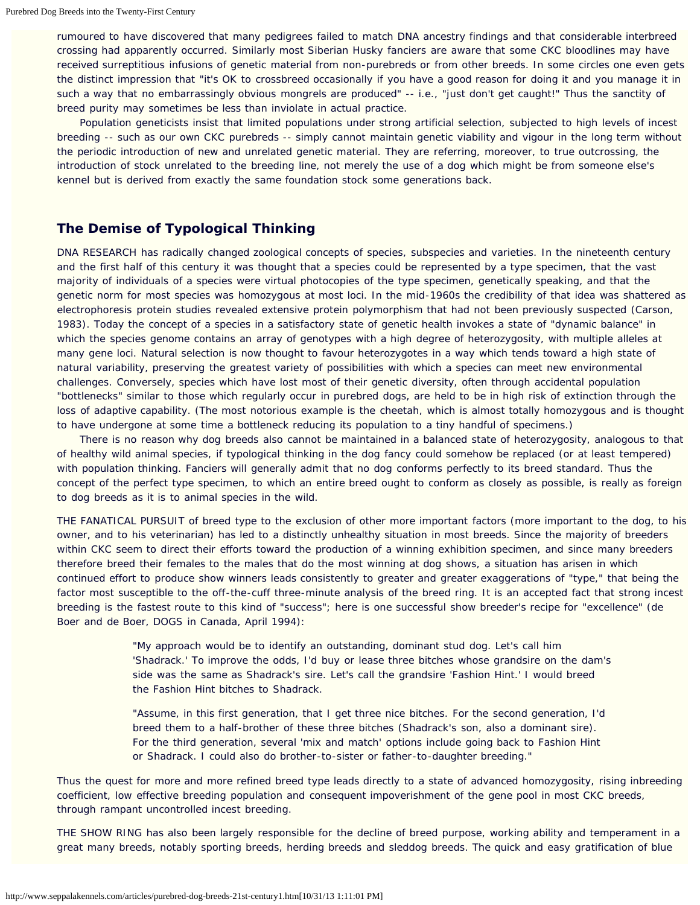rumoured to have discovered that many pedigrees failed to match DNA ancestry findings and that considerable interbreed crossing had apparently occurred. Similarly most Siberian Husky fanciers are aware that some CKC bloodlines may have received surreptitious infusions of genetic material from non-purebreds or from other breeds. In some circles one even gets the distinct impression that "it's OK to crossbreed occasionally if you have a good reason for doing it and you manage it in such a way that no embarrassingly obvious mongrels are produced" -- i.e., "just don't get caught!" Thus the sanctity of breed purity may sometimes be less than inviolate in actual practice.

 Population geneticists insist that limited populations under strong artificial selection, subjected to high levels of incest breeding -- such as our own CKC purebreds -- simply cannot maintain genetic viability and vigour in the long term without the periodic introduction of new and unrelated genetic material. They are referring, moreover, to true outcrossing, the introduction of stock unrelated to the breeding line, not merely the use of a dog which might be from someone else's kennel but is derived from exactly the same foundation stock some generations back.

## **The Demise of Typological Thinking**

DNA RESEARCH has radically changed zoological concepts of species, subspecies and varieties. In the nineteenth century and the first half of this century it was thought that a species could be represented by a type specimen, that the vast majority of individuals of a species were virtual photocopies of the type specimen, genetically speaking, and that the genetic norm for most species was homozygous at most loci. In the mid-1960s the credibility of that idea was shattered as electrophoresis protein studies revealed extensive protein polymorphism that had not been previously suspected (Carson, 1983). Today the concept of a species in a satisfactory state of genetic health invokes a state of "dynamic balance" in which the species genome contains an array of genotypes with a high degree of heterozygosity, with multiple alleles at many gene loci. Natural selection is now thought to favour heterozygotes in a way which tends toward a high state of natural variability, preserving the greatest variety of possibilities with which a species can meet new environmental challenges. Conversely, species which have lost most of their genetic diversity, often through accidental population "bottlenecks" similar to those which regularly occur in purebred dogs, are held to be in high risk of extinction through the loss of adaptive capability. (The most notorious example is the cheetah, which is almost totally homozygous and is thought to have undergone at some time a bottleneck reducing its population to a tiny handful of specimens.)

 There is no reason why dog breeds also cannot be maintained in a balanced state of heterozygosity, analogous to that of healthy wild animal species, if typological thinking in the dog fancy could somehow be replaced (or at least tempered) with population thinking. Fanciers will generally admit that no dog conforms perfectly to its breed standard. Thus the concept of the perfect type specimen, to which an entire breed ought to conform as closely as possible, is really as foreign to dog breeds as it is to animal species in the wild.

THE FANATICAL PURSUIT of breed type to the exclusion of other more important factors (more important to the dog, to his owner, and to his veterinarian) has led to a distinctly unhealthy situation in most breeds. Since the majority of breeders within CKC seem to direct their efforts toward the production of a winning exhibition specimen, and since many breeders therefore breed their females to the males that do the most winning at dog shows, a situation has arisen in which continued effort to produce show winners leads consistently to greater and greater exaggerations of "type," that being the factor most susceptible to the off-the-cuff three-minute analysis of the breed ring. It is an accepted fact that strong incest breeding is the fastest route to this kind of "success"; here is one successful show breeder's recipe for "excellence" (de Boer and de Boer, *DOGS in Canada*, April 1994):

> "My approach would be to identify an outstanding, dominant stud dog. Let's call him 'Shadrack.' To improve the odds, I'd buy or lease three bitches whose grandsire on the dam's side was the same as Shadrack's sire. Let's call the grandsire 'Fashion Hint.' I would breed the Fashion Hint bitches to Shadrack.

"Assume, in this first generation, that I get three nice bitches. For the second generation, I'd breed them to a half-brother of these three bitches (Shadrack's son, also a dominant sire). For the third generation, several 'mix and match' options include going back to Fashion Hint or Shadrack. I could also do brother-to-sister or father-to-daughter breeding."

Thus the quest for more and more refined breed type leads directly to a state of advanced homozygosity, rising inbreeding coefficient, low effective breeding population and consequent impoverishment of the gene pool in most CKC breeds, through rampant uncontrolled incest breeding.

THE SHOW RING has also been largely responsible for the decline of breed purpose, working ability and temperament in a great many breeds, notably sporting breeds, herding breeds and sleddog breeds. The quick and easy gratification of blue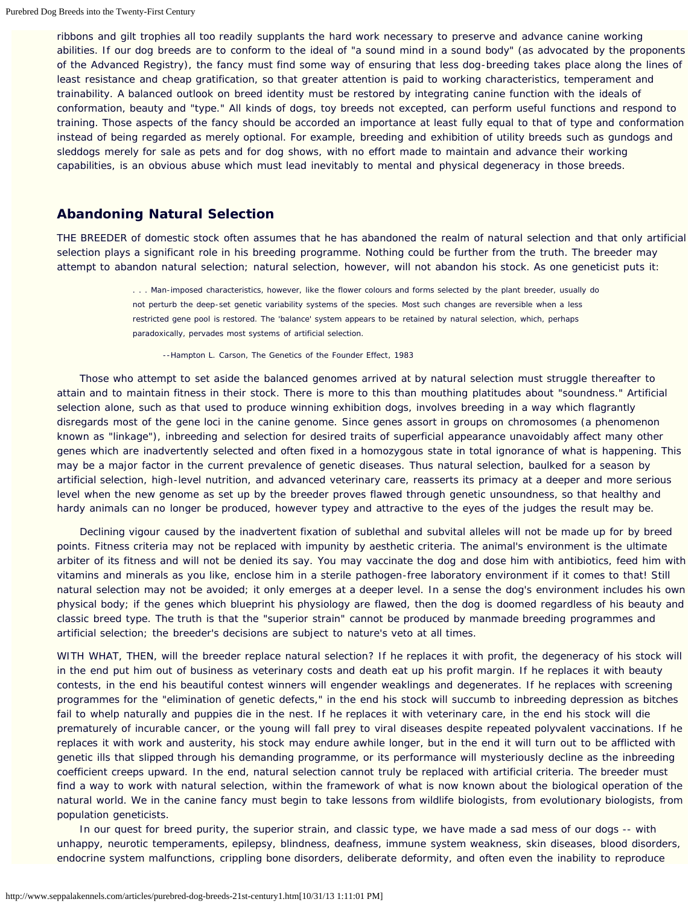ribbons and gilt trophies all too readily supplants the hard work necessary to preserve and advance canine working abilities. If our dog breeds are to conform to the ideal of "a sound mind in a sound body" (as advocated by the proponents of the Advanced Registry), the fancy must find some way of ensuring that less dog-breeding takes place along the lines of least resistance and cheap gratification, so that greater attention is paid to working characteristics, temperament and trainability. A balanced outlook on breed identity must be restored by integrating canine function with the ideals of conformation, beauty and "type." All kinds of dogs, toy breeds not excepted, can perform useful functions and respond to training. Those aspects of the fancy should be accorded an importance at least fully equal to that of type and conformation instead of being regarded as merely optional. For example, breeding and exhibition of utility breeds such as gundogs and sleddogs merely for sale as pets and for dog shows, with no effort made to maintain and advance their working capabilities, is an obvious abuse which must lead inevitably to mental and physical degeneracy in those breeds.

## **Abandoning Natural Selection**

THE BREEDER of domestic stock often assumes that he has abandoned the realm of natural selection and that only artificial selection plays a significant role in his breeding programme. Nothing could be further from the truth. The breeder may attempt to abandon natural selection; natural selection, however, will not abandon his stock. As one geneticist puts it:

> . . . Man-imposed characteristics, however, like the flower colours and forms selected by the plant breeder, usually do not perturb the deep-set genetic variability systems of the species. Most such changes are reversible when a less restricted gene pool is restored. The 'balance' system appears to be retained by natural selection, which, perhaps paradoxically, pervades most systems of artificial selection.

--Hampton L. Carson, *The Genetics of the Founder Effect*, 1983

 Those who attempt to set aside the balanced genomes arrived at by natural selection must struggle thereafter to attain and to maintain fitness in their stock. There is more to this than mouthing platitudes about "soundness." Artificial selection alone, such as that used to produce winning exhibition dogs, involves breeding in a way which flagrantly disregards most of the gene loci in the canine genome. Since genes assort in groups on chromosomes (a phenomenon known as "linkage"), inbreeding and selection for desired traits of superficial appearance unavoidably affect many other genes which are inadvertently selected and often fixed in a homozygous state in total ignorance of what is happening. This may be a major factor in the current prevalence of genetic diseases. Thus natural selection, baulked for a season by artificial selection, high-level nutrition, and advanced veterinary care, reasserts its primacy at a deeper and more serious level when the new genome as set up by the breeder proves flawed through genetic unsoundness, so that healthy and hardy animals can no longer be produced, however typey and attractive to the eyes of the judges the result may be.

 Declining vigour caused by the inadvertent fixation of sublethal and subvital alleles will not be made up for by breed points. Fitness criteria may not be replaced with impunity by aesthetic criteria. The animal's environment is the ultimate arbiter of its fitness and will not be denied its say. You may vaccinate the dog and dose him with antibiotics, feed him with vitamins and minerals as you like, enclose him in a sterile pathogen-free laboratory environment if it comes to that! Still natural selection may not be avoided; it only emerges at a deeper level. In a sense the dog's environment includes his own physical body; if the genes which blueprint his physiology are flawed, then the dog is doomed regardless of his beauty and classic breed type. The truth is that the "superior strain" cannot be produced by manmade breeding programmes and artificial selection; the breeder's decisions are subject to nature's veto at all times.

WITH WHAT, THEN, will the breeder replace natural selection? If he replaces it with profit, the degeneracy of his stock will in the end put him out of business as veterinary costs and death eat up his profit margin. If he replaces it with beauty contests, in the end his beautiful contest winners will engender weaklings and degenerates. If he replaces with screening programmes for the "elimination of genetic defects," in the end his stock will succumb to inbreeding depression as bitches fail to whelp naturally and puppies die in the nest. If he replaces it with veterinary care, in the end his stock will die prematurely of incurable cancer, or the young will fall prey to viral diseases despite repeated polyvalent vaccinations. If he replaces it with work and austerity, his stock may endure awhile longer, but in the end it will turn out to be afflicted with genetic ills that slipped through his demanding programme, or its performance will mysteriously decline as the inbreeding coefficient creeps upward. In the end, natural selection cannot truly be replaced with artificial criteria. The breeder must find a way to work with natural selection, within the framework of what is now known about the biological operation of the natural world. We in the canine fancy must begin to take lessons from wildlife biologists, from evolutionary biologists, from population geneticists.

In our quest for breed purity, the superior strain, and classic type, we have made a sad mess of our dogs -- with unhappy, neurotic temperaments, epilepsy, blindness, deafness, immune system weakness, skin diseases, blood disorders, endocrine system malfunctions, crippling bone disorders, deliberate deformity, and often even the inability to reproduce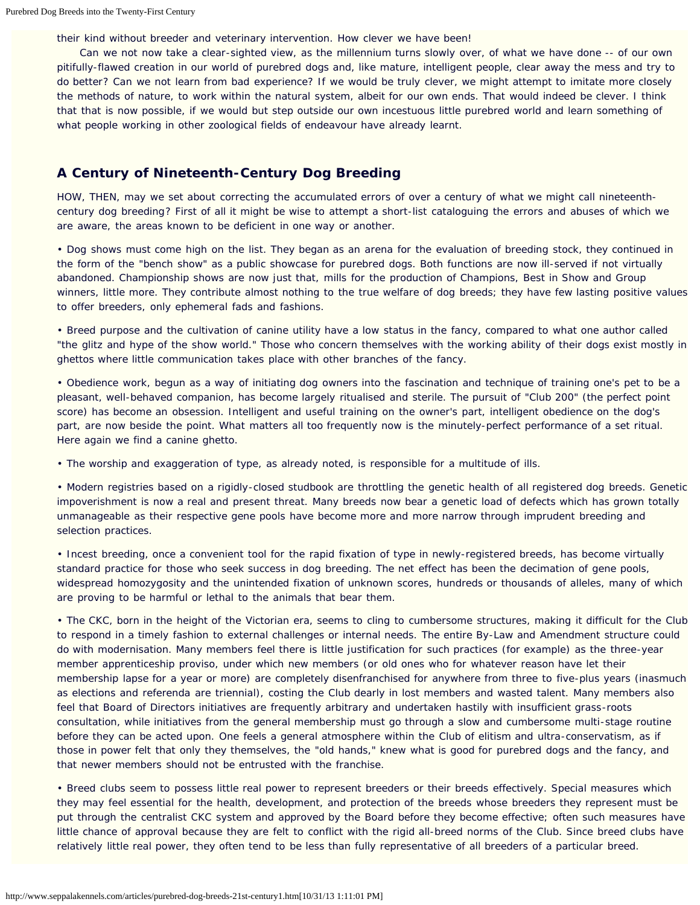their kind without breeder and veterinary intervention. How clever we have been!

 Can we not now take a clear-sighted view, as the millennium turns slowly over, of what we have done -- of our own pitifully-flawed creation in our world of purebred dogs and, like mature, intelligent people, clear away the mess and try to do better? Can we not learn from bad experience? If we would be truly clever, we might attempt to imitate more closely the methods of nature, to work within the natural system, albeit for our own ends. That would indeed be clever. I think that that is now possible, if we would but step outside our own incestuous little purebred world and learn something of what people working in other zoological fields of endeavour have already learnt.

## **A Century of Nineteenth-Century Dog Breeding**

HOW, THEN, may we set about correcting the accumulated errors of over a century of what we might call nineteenthcentury dog breeding? First of all it might be wise to attempt a short-list cataloguing the errors and abuses of which we are aware, the areas known to be deficient in one way or another.

• Dog shows must come high on the list. They began as an arena for the evaluation of breeding stock, they continued in the form of the "bench show" as a public showcase for purebred dogs. Both functions are now ill-served if not virtually abandoned. Championship shows are now just that, mills for the production of Champions, Best in Show and Group winners, little more. They contribute almost nothing to the true welfare of dog breeds; they have few lasting positive values to offer breeders, only ephemeral fads and fashions.

• Breed purpose and the cultivation of canine utility have a low status in the fancy, compared to what one author called "the glitz and hype of the show world." Those who concern themselves with the working ability of their dogs exist mostly in ghettos where little communication takes place with other branches of the fancy.

• Obedience work, begun as a way of initiating dog owners into the fascination and technique of training one's pet to be a pleasant, well-behaved companion, has become largely ritualised and sterile. The pursuit of "Club 200" (the perfect point score) has become an obsession. Intelligent and useful training on the owner's part, intelligent obedience on the dog's part, are now beside the point. What matters all too frequently now is the minutely-perfect performance of a set ritual. Here again we find a canine ghetto.

• The worship and exaggeration of type, as already noted, is responsible for a multitude of ills.

• Modern registries based on a rigidly-closed studbook are throttling the genetic health of all registered dog breeds. Genetic impoverishment is now a real and present threat. Many breeds now bear a genetic load of defects which has grown totally unmanageable as their respective gene pools have become more and more narrow through imprudent breeding and selection practices.

• Incest breeding, once a convenient tool for the rapid fixation of type in newly-registered breeds, has become virtually standard practice for those who seek success in dog breeding. The net effect has been the decimation of gene pools, widespread homozygosity and the unintended fixation of unknown scores, hundreds or thousands of alleles, many of which are proving to be harmful or lethal to the animals that bear them.

• The CKC, born in the height of the Victorian era, seems to cling to cumbersome structures, making it difficult for the Club to respond in a timely fashion to external challenges or internal needs. The entire By-Law and Amendment structure could do with modernisation. Many members feel there is little justification for such practices (for example) as the three-year member apprenticeship proviso, under which new members (or old ones who for whatever reason have let their membership lapse for a year or more) are completely disenfranchised for anywhere from three to five-plus years (inasmuch as elections and referenda are triennial), costing the Club dearly in lost members and wasted talent. Many members also feel that Board of Directors initiatives are frequently arbitrary and undertaken hastily with insufficient grass-roots consultation, while initiatives from the general membership must go through a slow and cumbersome multi-stage routine before they can be acted upon. One feels a general atmosphere within the Club of elitism and ultra-conservatism, as if those in power felt that only they themselves, the "old hands," knew what is good for purebred dogs and the fancy, and that newer members should not be entrusted with the franchise.

• Breed clubs seem to possess little real power to represent breeders or their breeds effectively. Special measures which they may feel essential for the health, development, and protection of the breeds whose breeders they represent must be put through the centralist CKC system and approved by the Board before they become effective; often such measures have little chance of approval because they are felt to conflict with the rigid all-breed norms of the Club. Since breed clubs have relatively little real power, they often tend to be less than fully representative of all breeders of a particular breed.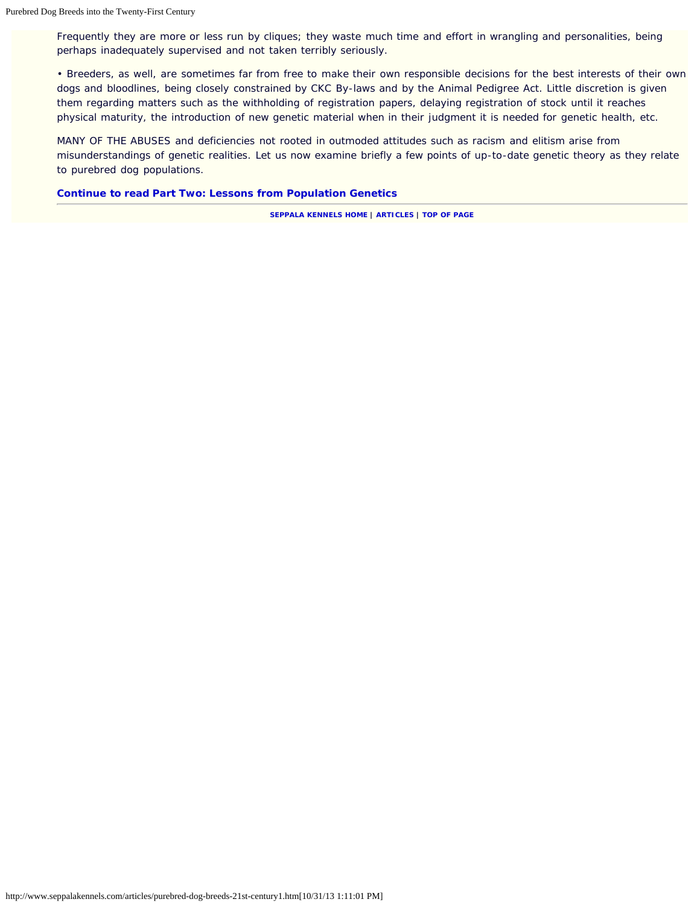Frequently they are more or less run by cliques; they waste much time and effort in wrangling and personalities, being perhaps inadequately supervised and not taken terribly seriously.

• Breeders, as well, are sometimes far from free to make their own responsible decisions for the best interests of their own dogs and bloodlines, being closely constrained by CKC By-laws and by the Animal Pedigree Act. Little discretion is given them regarding matters such as the withholding of registration papers, delaying registration of stock until it reaches physical maturity, the introduction of new genetic material when in their judgment it is needed for genetic health, etc.

MANY OF THE ABUSES and deficiencies not rooted in outmoded attitudes such as racism and elitism arise from misunderstandings of genetic realities. Let us now examine briefly a few points of up-to-date genetic theory as they relate to purebred dog populations.

#### **[Continue to read Part Two: Lessons from Population Genetics](#page-16-0)**

**[SEPPALA KENNELS HOME](http://www.seppalakennels.com/index.htm) | [ARTICLES](http://www.seppalakennels.com/jeffreys-articles.htm) | TOP OF [PAGE](#page-9-0)**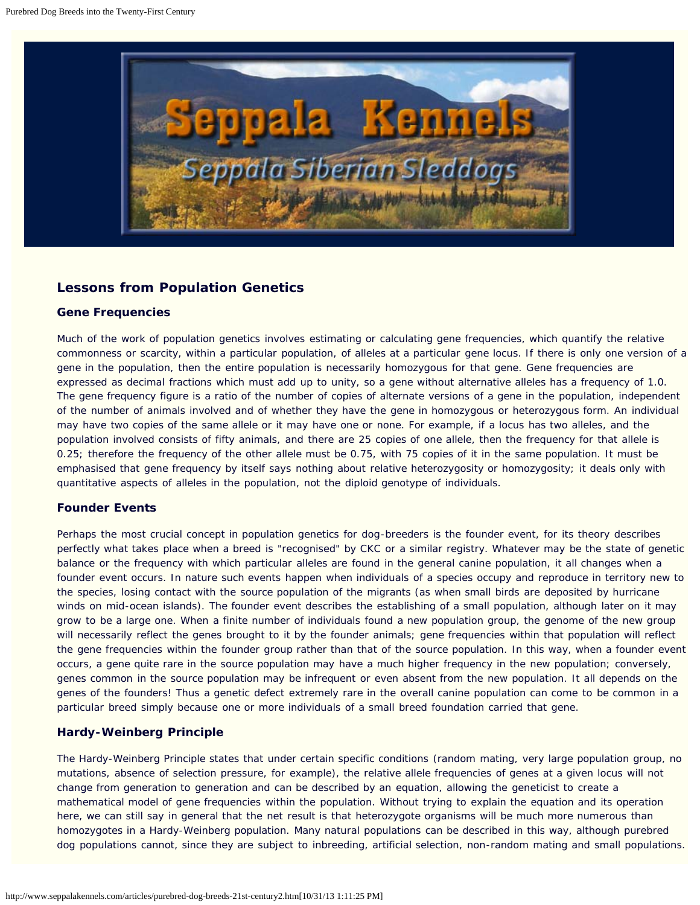<span id="page-16-0"></span>

## **Lessons from Population Genetics**

#### **Gene Frequencies**

Much of the work of population genetics involves estimating or calculating gene frequencies, which quantify the relative commonness or scarcity, within a particular population, of alleles at a particular gene locus. If there is only one version of a gene in the population, then the entire population is necessarily homozygous for that gene. Gene frequencies are expressed as decimal fractions which must add up to unity, so a gene without alternative alleles has a frequency of 1.0. The gene frequency figure is a ratio of the number of copies of alternate versions of a gene in the population, independent of the number of animals involved and of whether they have the gene in homozygous or heterozygous form. An individual may have two copies of the same allele or it may have one or none. For example, if a locus has two alleles, and the population involved consists of fifty animals, and there are 25 copies of one allele, then the frequency for that allele is 0.25; therefore the frequency of the other allele must be 0.75, with 75 copies of it in the same population. It must be emphasised that gene frequency by itself says nothing about relative heterozygosity or homozygosity; it deals only with quantitative aspects of alleles in the population, not the diploid genotype of individuals.

## **Founder Events**

Perhaps the most crucial concept in population genetics for dog-breeders is the founder event, for its theory describes perfectly what takes place when a breed is "recognised" by CKC or a similar registry. Whatever may be the state of genetic balance or the frequency with which particular alleles are found in the general canine population, it all changes when a founder event occurs. In nature such events happen when individuals of a species occupy and reproduce in territory new to the species, losing contact with the source population of the migrants (as when small birds are deposited by hurricane winds on mid-ocean islands). The founder event describes the establishing of a small population, although later on it may grow to be a large one. When a finite number of individuals found a new population group, the genome of the new group will necessarily reflect the genes brought to it by the founder animals; gene frequencies within that population will reflect the gene frequencies within the founder group rather than that of the source population. In this way, when a founder event occurs, a gene quite rare in the source population may have a much higher frequency in the new population; conversely, genes common in the source population may be infrequent or even absent from the new population. It all depends on the genes of the founders! Thus a genetic defect extremely rare in the overall canine population can come to be common in a particular breed simply because one or more individuals of a small breed foundation carried that gene.

## **Hardy-Weinberg Principle**

The Hardy-Weinberg Principle states that under certain specific conditions (random mating, very large population group, no mutations, absence of selection pressure, for example), the relative allele frequencies of genes at a given locus will not change from generation to generation and can be described by an equation, allowing the geneticist to create a mathematical model of gene frequencies within the population. Without trying to explain the equation and its operation here, we can still say in general that the net result is that heterozygote organisms will be much more numerous than homozygotes in a Hardy-Weinberg population. Many natural populations can be described in this way, although purebred dog populations cannot, since they are subject to inbreeding, artificial selection, non-random mating and small populations.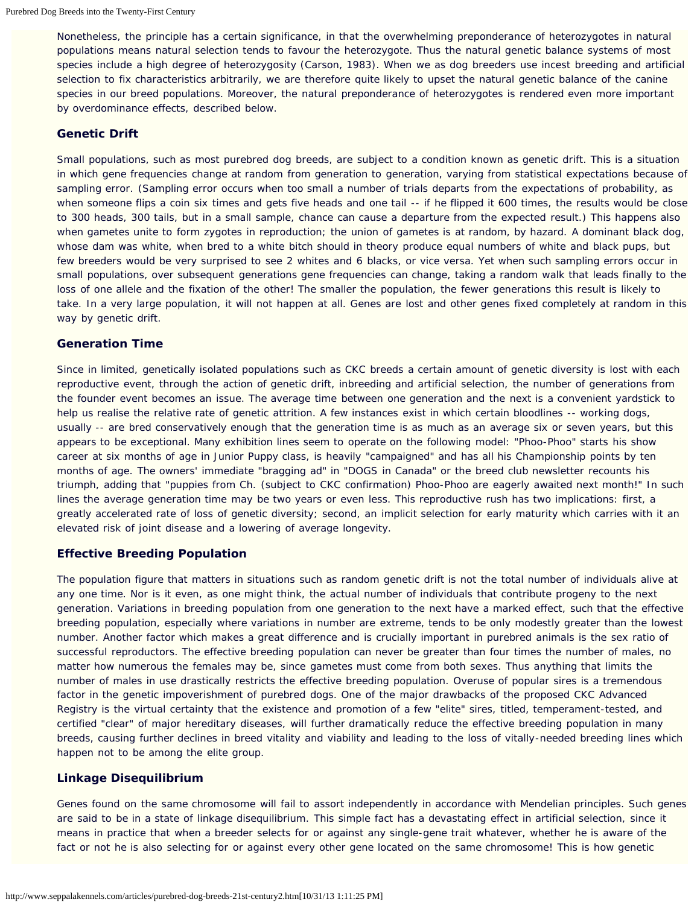Nonetheless, the principle has a certain significance, in that the overwhelming preponderance of heterozygotes in natural populations means natural selection tends to favour the heterozygote. Thus the natural genetic balance systems of most species include a high degree of heterozygosity (Carson, 1983). When we as dog breeders use incest breeding and artificial selection to fix characteristics arbitrarily, we are therefore quite likely to upset the natural genetic balance of the canine species in our breed populations. Moreover, the natural preponderance of heterozygotes is rendered even more important by overdominance effects, described below.

#### **Genetic Drift**

Small populations, such as most purebred dog breeds, are subject to a condition known as genetic drift. This is a situation in which gene frequencies change at random from generation to generation, varying from statistical expectations because of sampling error. (Sampling error occurs when too small a number of trials departs from the expectations of probability, as when someone flips a coin six times and gets five heads and one tail -- if he flipped it 600 times, the results would be close to 300 heads, 300 tails, but in a small sample, chance can cause a departure from the expected result.) This happens also when gametes unite to form zygotes in reproduction; the union of gametes is at random, by hazard. A dominant black dog, whose dam was white, when bred to a white bitch should in theory produce equal numbers of white and black pups, but few breeders would be very surprised to see 2 whites and 6 blacks, or vice versa. Yet when such sampling errors occur in small populations, over subsequent generations gene frequencies can change, taking a random walk that leads finally to the loss of one allele and the fixation of the other! The smaller the population, the fewer generations this result is likely to take. In a very large population, it will not happen at all. Genes are lost and other genes fixed completely at random in this way by genetic drift.

#### **Generation Time**

Since in limited, genetically isolated populations such as CKC breeds a certain amount of genetic diversity is lost with each reproductive event, through the action of genetic drift, inbreeding and artificial selection, the number of generations from the founder event becomes an issue. The average time between one generation and the next is a convenient yardstick to help us realise the relative rate of genetic attrition. A few instances exist in which certain bloodlines -- working dogs, usually -- are bred conservatively enough that the generation time is as much as an average six or seven years, but this appears to be exceptional. Many exhibition lines seem to operate on the following model: "Phoo-Phoo" starts his show career at six months of age in Junior Puppy class, is heavily "campaigned" and has all his Championship points by ten months of age. The owners' immediate "bragging ad" in "DOGS in Canada" or the breed club newsletter recounts his triumph, adding that "puppies from Ch. (subject to CKC confirmation) Phoo-Phoo are eagerly awaited next month!" In such lines the average generation time may be two years or even less. This reproductive rush has two implications: first, a greatly accelerated rate of loss of genetic diversity; second, an implicit selection for early maturity which carries with it an elevated risk of joint disease and a lowering of average longevity.

#### **Effective Breeding Population**

The population figure that matters in situations such as random genetic drift is not the total number of individuals alive at any one time. Nor is it even, as one might think, the actual number of individuals that contribute progeny to the next generation. Variations in breeding population from one generation to the next have a marked effect, such that the effective breeding population, especially where variations in number are extreme, tends to be only modestly greater than the lowest number. Another factor which makes a great difference and is crucially important in purebred animals is the sex ratio of successful reproductors. The effective breeding population can never be greater than four times the number of males, no matter how numerous the females may be, since gametes must come from both sexes. Thus anything that limits the number of males in use drastically restricts the effective breeding population. Overuse of popular sires is a tremendous factor in the genetic impoverishment of purebred dogs. One of the major drawbacks of the proposed CKC Advanced Registry is the virtual certainty that the existence and promotion of a few "elite" sires, titled, temperament-tested, and certified "clear" of major hereditary diseases, will further dramatically reduce the effective breeding population in many breeds, causing further declines in breed vitality and viability and leading to the loss of vitally-needed breeding lines which happen not to be among the elite group.

#### **Linkage Disequilibrium**

Genes found on the same chromosome will fail to assort independently in accordance with Mendelian principles. Such genes are said to be in a state of linkage disequilibrium. This simple fact has a devastating effect in artificial selection, since it means in practice that when a breeder selects for or against any single-gene trait whatever, whether he is aware of the fact or not he is also selecting for or against every other gene located on the same chromosome! This is how genetic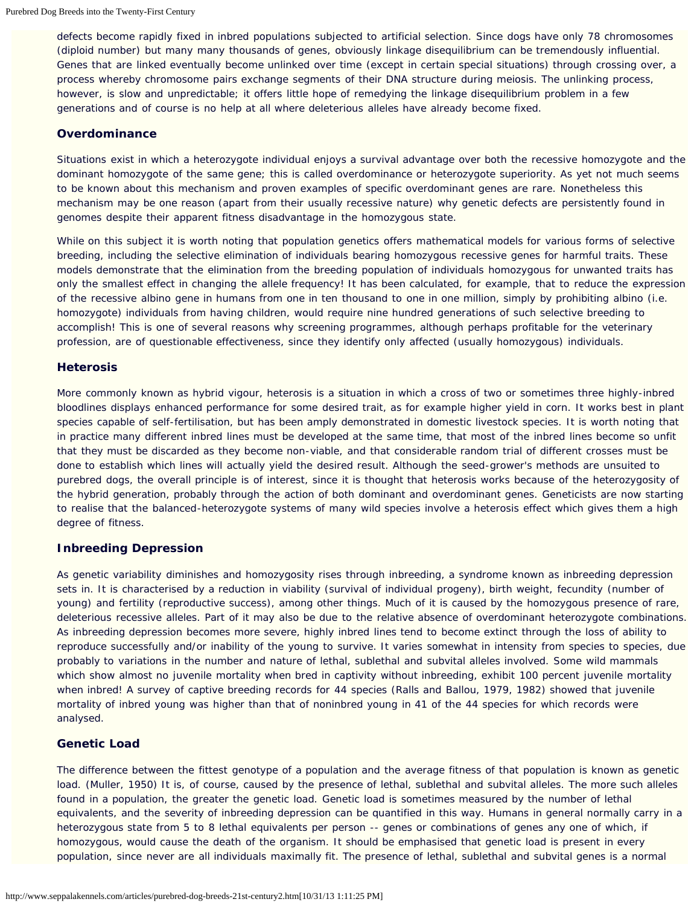defects become rapidly fixed in inbred populations subjected to artificial selection. Since dogs have only 78 chromosomes (diploid number) but many many thousands of genes, obviously linkage disequilibrium can be tremendously influential. Genes that are linked eventually become unlinked over time (except in certain special situations) through crossing over, a process whereby chromosome pairs exchange segments of their DNA structure during meiosis. The unlinking process, however, is slow and unpredictable; it offers little hope of remedying the linkage disequilibrium problem in a few generations and of course is no help at all where deleterious alleles have already become fixed.

#### **Overdominance**

Situations exist in which a heterozygote individual enjoys a survival advantage over both the recessive homozygote and the dominant homozygote of the same gene; this is called overdominance or heterozygote superiority. As yet not much seems to be known about this mechanism and proven examples of specific overdominant genes are rare. Nonetheless this mechanism may be one reason (apart from their usually recessive nature) why genetic defects are persistently found in genomes despite their apparent fitness disadvantage in the homozygous state.

While on this subject it is worth noting that population genetics offers mathematical models for various forms of selective breeding, including the selective elimination of individuals bearing homozygous recessive genes for harmful traits. These models demonstrate that the elimination from the breeding population of individuals homozygous for unwanted traits has only the smallest effect in changing the allele frequency! It has been calculated, for example, that to reduce the expression of the recessive albino gene in humans from one in ten thousand to one in one million, simply by prohibiting albino (i.e. homozygote) individuals from having children, would require nine hundred generations of such selective breeding to accomplish! This is one of several reasons why screening programmes, although perhaps profitable for the veterinary profession, are of questionable effectiveness, since they identify only affected (usually homozygous) individuals.

#### **Heterosis**

More commonly known as hybrid vigour, heterosis is a situation in which a cross of two or sometimes three highly-inbred bloodlines displays enhanced performance for some desired trait, as for example higher yield in corn. It works best in plant species capable of self-fertilisation, but has been amply demonstrated in domestic livestock species. It is worth noting that in practice many different inbred lines must be developed at the same time, that most of the inbred lines become so unfit that they must be discarded as they become non-viable, and that considerable random trial of different crosses must be done to establish which lines will actually yield the desired result. Although the seed-grower's methods are unsuited to purebred dogs, the overall principle is of interest, since it is thought that heterosis works because of the heterozygosity of the hybrid generation, probably through the action of both dominant and overdominant genes. Geneticists are now starting to realise that the balanced-heterozygote systems of many wild species involve a heterosis effect which gives them a high degree of fitness.

## **Inbreeding Depression**

As genetic variability diminishes and homozygosity rises through inbreeding, a syndrome known as inbreeding depression sets in. It is characterised by a reduction in viability (survival of individual progeny), birth weight, fecundity (number of young) and fertility (reproductive success), among other things. Much of it is caused by the homozygous presence of rare, deleterious recessive alleles. Part of it may also be due to the relative absence of overdominant heterozygote combinations. As inbreeding depression becomes more severe, highly inbred lines tend to become extinct through the loss of ability to reproduce successfully and/or inability of the young to survive. It varies somewhat in intensity from species to species, due probably to variations in the number and nature of lethal, sublethal and subvital alleles involved. Some wild mammals which show almost no juvenile mortality when bred in captivity without inbreeding, exhibit 100 percent juvenile mortality when inbred! A survey of captive breeding records for 44 species (Ralls and Ballou, 1979, 1982) showed that juvenile mortality of inbred young was higher than that of noninbred young in 41 of the 44 species for which records were analysed.

## **Genetic Load**

The difference between the fittest genotype of a population and the average fitness of that population is known as genetic load. (Muller, 1950) It is, of course, caused by the presence of lethal, sublethal and subvital alleles. The more such alleles found in a population, the greater the genetic load. Genetic load is sometimes measured by the number of lethal equivalents, and the severity of inbreeding depression can be quantified in this way. Humans in general normally carry in a heterozygous state from 5 to 8 lethal equivalents per person -- genes or combinations of genes any one of which, if homozygous, would cause the death of the organism. It should be emphasised that genetic load is present in every population, since never are all individuals maximally fit. The presence of lethal, sublethal and subvital genes is a normal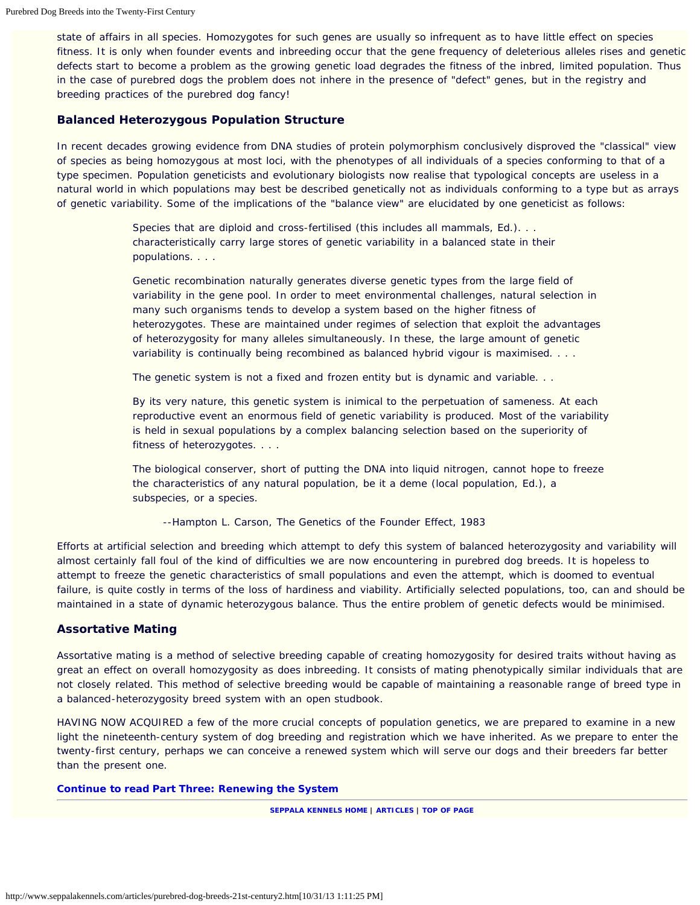state of affairs in all species. Homozygotes for such genes are usually so infrequent as to have little effect on species fitness. It is only when founder events and inbreeding occur that the gene frequency of deleterious alleles rises and genetic defects start to become a problem as the growing genetic load degrades the fitness of the inbred, limited population. Thus in the case of purebred dogs the problem does not inhere in the presence of "defect" genes, but in the registry and breeding practices of the purebred dog fancy!

#### **Balanced Heterozygous Population Structure**

In recent decades growing evidence from DNA studies of protein polymorphism conclusively disproved the "classical" view of species as being homozygous at most loci, with the phenotypes of all individuals of a species conforming to that of a type specimen. Population geneticists and evolutionary biologists now realise that typological concepts are useless in a natural world in which populations may best be described genetically not as individuals conforming to a type but as arrays of genetic variability. Some of the implications of the "balance view" are elucidated by one geneticist as follows:

> Species that are diploid and cross-fertilised *(this includes all mammals, Ed.)*. . . characteristically carry large stores of genetic variability in a balanced state in their populations. . . .

Genetic recombination naturally generates diverse genetic types from the large field of variability in the gene pool. In order to meet environmental challenges, natural selection in many such organisms tends to develop a system based on the higher fitness of heterozygotes. These are maintained under regimes of selection that exploit the advantages of heterozygosity for many alleles simultaneously. In these, the large amount of genetic variability is continually being recombined as balanced hybrid vigour is maximised. . . .

The genetic system is not a fixed and frozen entity but is dynamic and variable. . .

By its very nature, this genetic system is inimical to the perpetuation of sameness. At each reproductive event an enormous field of genetic variability is produced. Most of the variability is held in sexual populations by a complex balancing selection based on the superiority of fitness of heterozygotes. . . .

The biological conserver, short of putting the DNA into liquid nitrogen, cannot hope to freeze the characteristics of any natural population, be it a deme *(local population, Ed.)*, a subspecies, or a species.

--Hampton L. Carson, The Genetics of the Founder Effect, 1983

Efforts at artificial selection and breeding which attempt to defy this system of balanced heterozygosity and variability will almost certainly fall foul of the kind of difficulties we are now encountering in purebred dog breeds. It is hopeless to attempt to freeze the genetic characteristics of small populations and even the attempt, which is doomed to eventual failure, is quite costly in terms of the loss of hardiness and viability. Artificially selected populations, too, can and should be maintained in a state of dynamic heterozygous balance. Thus the entire problem of genetic defects would be minimised.

#### **Assortative Mating**

Assortative mating is a method of selective breeding capable of creating homozygosity for desired traits without having as great an effect on overall homozygosity as does inbreeding. It consists of mating phenotypically similar individuals that are not closely related. This method of selective breeding would be capable of maintaining a reasonable range of breed type in a balanced-heterozygosity breed system with an open studbook.

HAVING NOW ACQUIRED a few of the more crucial concepts of population genetics, we are prepared to examine in a new light the nineteenth-century system of dog breeding and registration which we have inherited. As we prepare to enter the twenty-first century, perhaps we can conceive a renewed system which will serve our dogs and their breeders far better than the present one.

#### **[Continue to read Part Three: Renewing the System](#page-20-0)**

**[SEPPALA KENNELS HOME](http://www.seppalakennels.com/index.htm) | [ARTICLES](http://www.seppalakennels.com/jeffreys-articles.htm) | TOP OF [PAGE](#page-16-0)**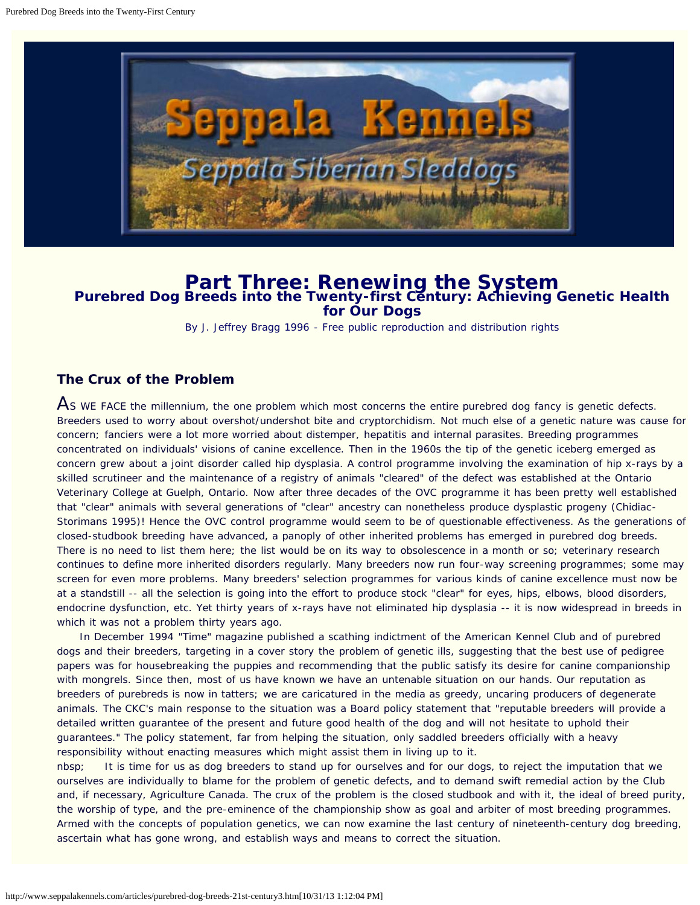<span id="page-20-0"></span>

## **Part Three: Renewing the System Purebred Dog Breeds into the Twenty-first Century: Achieving Genetic Health for Our Dogs**

By J. Jeffrey Bragg 1996 - Free public reproduction and distribution rights

## **The Crux of the Problem**

As WE FACE the millennium, the one problem which most concerns the entire purebred dog fancy is genetic defects. Breeders used to worry about overshot/undershot bite and cryptorchidism. Not much else of a genetic nature was cause for concern; fanciers were a lot more worried about distemper, hepatitis and internal parasites. Breeding programmes concentrated on individuals' visions of canine excellence. Then in the 1960s the tip of the genetic iceberg emerged as concern grew about a joint disorder called hip dysplasia. A control programme involving the examination of hip x-rays by a skilled scrutineer and the maintenance of a registry of animals "cleared" of the defect was established at the Ontario Veterinary College at Guelph, Ontario. Now after three decades of the OVC programme it has been pretty well established that "clear" animals with several generations of "clear" ancestry can nonetheless produce dysplastic progeny (Chidiac-Storimans 1995)! Hence the OVC control programme would seem to be of questionable effectiveness. As the generations of closed-studbook breeding have advanced, a panoply of other inherited problems has emerged in purebred dog breeds. There is no need to list them here; the list would be on its way to obsolescence in a month or so; veterinary research continues to define more inherited disorders regularly. Many breeders now run four-way screening programmes; some may screen for even more problems. Many breeders' selection programmes for various kinds of canine excellence must now be at a standstill -- all the selection is going into the effort to produce stock "clear" for eyes, hips, elbows, blood disorders, endocrine dysfunction, etc. Yet thirty years of x-rays have not eliminated hip dysplasia -- it is now widespread in breeds in which it was not a problem thirty years ago.

 In December 1994 "Time" magazine published a scathing indictment of the American Kennel Club and of purebred dogs and their breeders, targeting in a cover story the problem of genetic ills, suggesting that the best use of pedigree papers was for housebreaking the puppies and recommending that the public satisfy its desire for canine companionship with mongrels. Since then, most of us have known we have an untenable situation on our hands. Our reputation as breeders of purebreds is now in tatters; we are caricatured in the media as greedy, uncaring producers of degenerate animals. The CKC's main response to the situation was a Board policy statement that "reputable breeders will provide a detailed written guarantee of the present and future good health of the dog and will not hesitate to uphold their guarantees." The policy statement, far from helping the situation, only saddled breeders officially with a heavy responsibility without enacting measures which might assist them in living up to it.

nbsp; It is time for us as dog breeders to stand up for ourselves and for our dogs, to reject the imputation that we ourselves are individually to blame for the problem of genetic defects, and to demand swift remedial action by the Club and, if necessary, Agriculture Canada. The crux of the problem is the closed studbook and with it, the ideal of breed purity, the worship of type, and the pre-eminence of the championship show as goal and arbiter of most breeding programmes. Armed with the concepts of population genetics, we can now examine the last century of nineteenth-century dog breeding, ascertain what has gone wrong, and establish ways and means to correct the situation.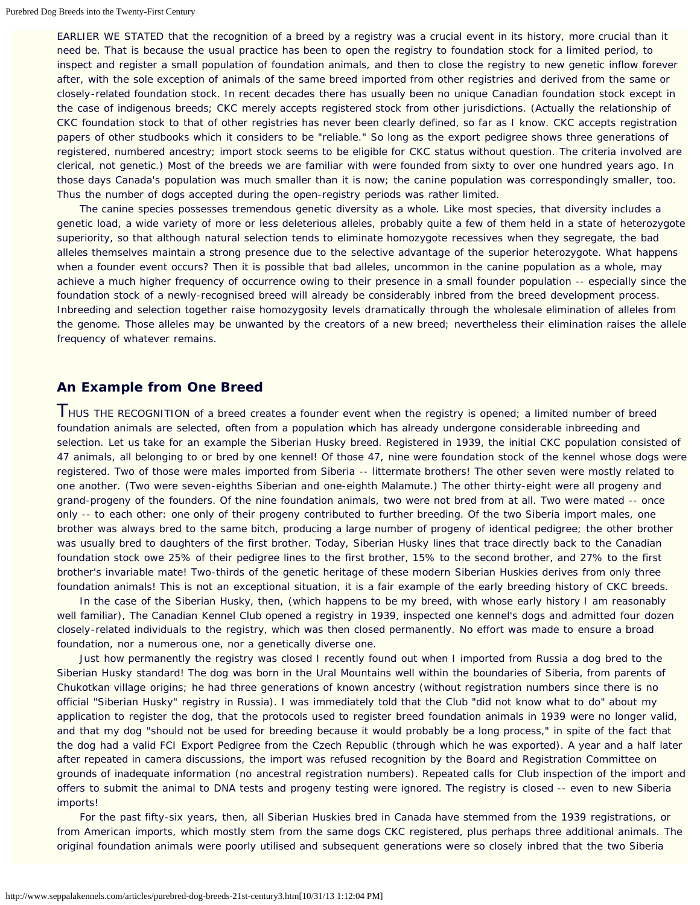EARLIER WE STATED that the recognition of a breed by a registry was a crucial event in its history, more crucial than it need be. That is because the usual practice has been to open the registry to foundation stock for a limited period, to inspect and register a small population of foundation animals, and then to close the registry to new genetic inflow forever after, with the sole exception of animals of the same breed imported from other registries and derived from the same or closely-related foundation stock. In recent decades there has usually been no unique Canadian foundation stock except in the case of indigenous breeds; CKC merely accepts registered stock from other jurisdictions. (Actually the relationship of CKC foundation stock to that of other registries has never been clearly defined, so far as I know. CKC accepts registration papers of other studbooks which it considers to be "reliable." So long as the export pedigree shows three generations of registered, numbered ancestry; import stock seems to be eligible for CKC status without question. The criteria involved are clerical, not genetic.) Most of the breeds we are familiar with were founded from sixty to over one hundred years ago. In those days Canada's population was much smaller than it is now; the canine population was correspondingly smaller, too. Thus the number of dogs accepted during the open-registry periods was rather limited.

 The canine species possesses tremendous genetic diversity as a whole. Like most species, that diversity includes a genetic load, a wide variety of more or less deleterious alleles, probably quite a few of them held in a state of heterozygote superiority, so that although natural selection tends to eliminate homozygote recessives when they segregate, the bad alleles themselves maintain a strong presence due to the selective advantage of the superior heterozygote. What happens when a founder event occurs? Then it is possible that bad alleles, uncommon in the canine population as a whole, may achieve a much higher frequency of occurrence owing to their presence in a small founder population -- especially since the foundation stock of a newly-recognised breed will already be considerably inbred from the breed development process. Inbreeding and selection together raise homozygosity levels dramatically through the wholesale elimination of alleles from the genome. Those alleles may be unwanted by the creators of a new breed; nevertheless their elimination raises the allele frequency of whatever remains.

## **An Example from One Breed**

**THUS THE RECOGNITION of a breed creates a founder event when the registry is opened; a limited number of breed** foundation animals are selected, often from a population which has already undergone considerable inbreeding and selection. Let us take for an example the Siberian Husky breed. Registered in 1939, the initial CKC population consisted of 47 animals, all belonging to or bred by one kennel! Of those 47, nine were foundation stock of the kennel whose dogs were registered. Two of those were males imported from Siberia -- littermate brothers! The other seven were mostly related to one another. (Two were seven-eighths Siberian and one-eighth Malamute.) The other thirty-eight were all progeny and grand-progeny of the founders. Of the nine foundation animals, two were not bred from at all. Two were mated -- once only -- to each other: one only of their progeny contributed to further breeding. Of the two Siberia import males, one brother was always bred to the same bitch, producing a large number of progeny of identical pedigree; the other brother was usually bred to daughters of the first brother. Today, Siberian Husky lines that trace directly back to the Canadian foundation stock owe 25% of their pedigree lines to the first brother, 15% to the second brother, and 27% to the first brother's invariable mate! Two-thirds of the genetic heritage of these modern Siberian Huskies derives from only three foundation animals! This is not an exceptional situation, it is a fair example of the early breeding history of CKC breeds.

In the case of the Siberian Husky, then, (which happens to be my breed, with whose early history I am reasonably well familiar), The Canadian Kennel Club opened a registry in 1939, inspected one kennel's dogs and admitted four dozen closely-related individuals to the registry, which was then closed permanently. No effort was made to ensure a broad foundation, nor a numerous one, nor a genetically diverse one.

Just how permanently the registry was closed I recently found out when I imported from Russia a dog bred to the Siberian Husky standard! The dog was born in the Ural Mountains well within the boundaries of Siberia, from parents of Chukotkan village origins; he had three generations of known ancestry (without registration numbers since there is no official "Siberian Husky" registry in Russia). I was immediately told that the Club "did not know what to do" about my application to register the dog, that the protocols used to register breed foundation animals in 1939 were no longer valid, and that my dog "should not be used for breeding because it would probably be a long process," in spite of the fact that the dog had a valid FCI Export Pedigree from the Czech Republic (through which he was exported). A year and a half later after repeated in camera discussions, the import was refused recognition by the Board and Registration Committee on grounds of inadequate information (no ancestral registration numbers). Repeated calls for Club inspection of the import and offers to submit the animal to DNA tests and progeny testing were ignored. The registry is closed -- even to new Siberia imports!

 For the past fifty-six years, then, all Siberian Huskies bred in Canada have stemmed from the 1939 registrations, or from American imports, which mostly stem from the same dogs CKC registered, plus perhaps three additional animals. The original foundation animals were poorly utilised and subsequent generations were so closely inbred that the two Siberia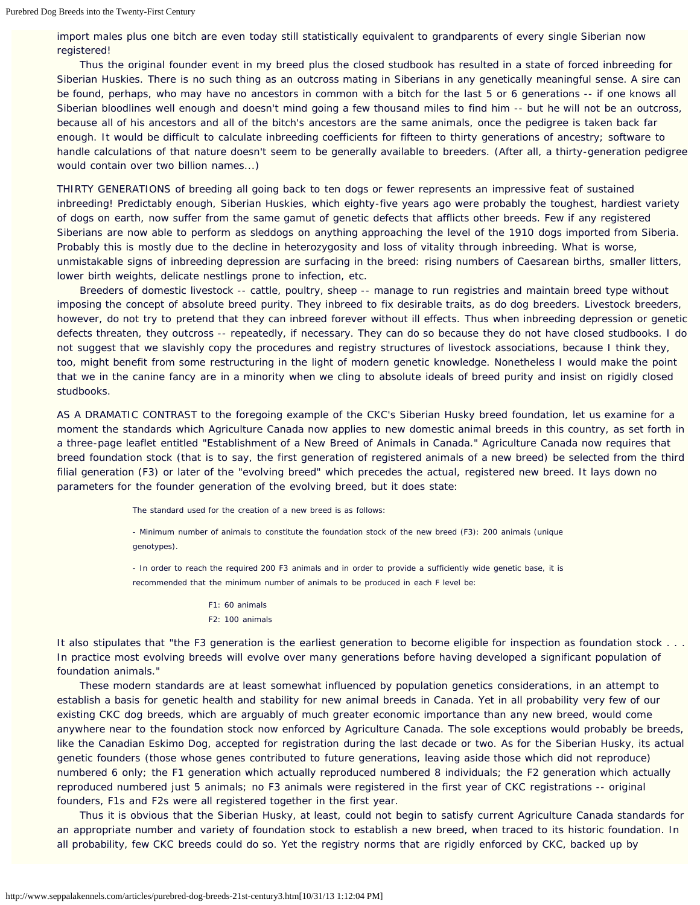import males plus one bitch are even today still statistically equivalent to grandparents of every single Siberian now registered!

 Thus the original founder event in my breed plus the closed studbook has resulted in a state of forced inbreeding for Siberian Huskies. There is no such thing as an outcross mating in Siberians in any genetically meaningful sense. A sire can be found, perhaps, who may have no ancestors in common with a bitch for the last 5 or 6 generations -- if one knows all Siberian bloodlines well enough and doesn't mind going a few thousand miles to find him -- but he will not be an outcross, because all of his ancestors and all of the bitch's ancestors are the same animals, once the pedigree is taken back far enough. It would be difficult to calculate inbreeding coefficients for fifteen to thirty generations of ancestry; software to handle calculations of that nature doesn't seem to be generally available to breeders. (After all, a thirty-generation pedigree would contain over two billion names...)

THIRTY GENERATIONS of breeding all going back to ten dogs or fewer represents an impressive feat of sustained inbreeding! Predictably enough, Siberian Huskies, which eighty-five years ago were probably the toughest, hardiest variety of dogs on earth, now suffer from the same gamut of genetic defects that afflicts other breeds. Few if any registered Siberians are now able to perform as sleddogs on anything approaching the level of the 1910 dogs imported from Siberia. Probably this is mostly due to the decline in heterozygosity and loss of vitality through inbreeding. What is worse, unmistakable signs of inbreeding depression are surfacing in the breed: rising numbers of Caesarean births, smaller litters, lower birth weights, delicate nestlings prone to infection, etc.

 Breeders of domestic livestock -- cattle, poultry, sheep -- manage to run registries and maintain breed type without imposing the concept of absolute breed purity. They inbreed to fix desirable traits, as do dog breeders. Livestock breeders, however, do not try to pretend that they can inbreed forever without ill effects. Thus when inbreeding depression or genetic defects threaten, they outcross -- repeatedly, if necessary. They can do so because they do not have closed studbooks. I do not suggest that we slavishly copy the procedures and registry structures of livestock associations, because I think they, too, might benefit from some restructuring in the light of modern genetic knowledge. Nonetheless I would make the point that we in the canine fancy are in a minority when we cling to absolute ideals of breed purity and insist on rigidly closed studbooks.

AS A DRAMATIC CONTRAST to the foregoing example of the CKC's Siberian Husky breed foundation, let us examine for a moment the standards which Agriculture Canada now applies to new domestic animal breeds in this country, as set forth in a three-page leaflet entitled "Establishment of a New Breed of Animals in Canada." Agriculture Canada now requires that breed foundation stock (that is to say, the first generation of registered animals of a new breed) be selected from the third filial generation (F3) or later of the "evolving breed" which precedes the actual, registered new breed. It lays down no parameters for the founder generation of the evolving breed, but it does state:

The standard used for the creation of a new breed is as follows:

- Minimum number of animals to constitute the foundation stock of the new breed (F3): 200 animals (unique genotypes).

- In order to reach the required 200 F3 animals and in order to provide a sufficiently wide genetic base, it is recommended that the minimum number of animals to be produced in each F level be:

> F1: 60 animals F2: 100 animals

It also stipulates that "the F3 generation is the earliest generation to become eligible for inspection as foundation stock... In practice most evolving breeds will evolve over many generations before having developed a significant population of foundation animals."

 These modern standards are at least somewhat influenced by population genetics considerations, in an attempt to establish a basis for genetic health and stability for new animal breeds in Canada. Yet in all probability very few of our existing CKC dog breeds, which are arguably of much greater economic importance than any new breed, would come anywhere near to the foundation stock now enforced by Agriculture Canada. The sole exceptions would probably be breeds, like the Canadian Eskimo Dog, accepted for registration during the last decade or two. As for the Siberian Husky, its actual genetic founders (those whose genes contributed to future generations, leaving aside those which did not reproduce) numbered 6 only; the F1 generation which actually reproduced numbered 8 individuals; the F2 generation which actually reproduced numbered just 5 animals; no F3 animals were registered in the first year of CKC registrations -- original founders, F1s and F2s were all registered together in the first year.

 Thus it is obvious that the Siberian Husky, at least, could not begin to satisfy current Agriculture Canada standards for an appropriate number and variety of foundation stock to establish a new breed, when traced to its historic foundation. In all probability, few CKC breeds could do so. Yet the registry norms that are rigidly enforced by CKC, backed up by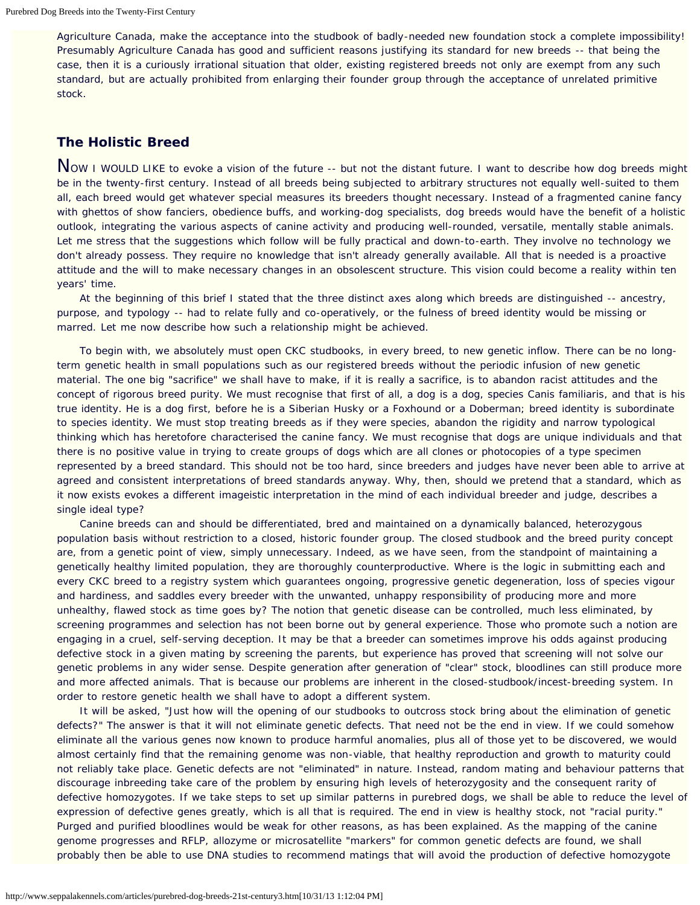Agriculture Canada, make the acceptance into the studbook of badly-needed new foundation stock a complete impossibility! Presumably Agriculture Canada has good and sufficient reasons justifying its standard for new breeds -- that being the case, then it is a curiously irrational situation that older, existing registered breeds not only are exempt from any such standard, but are actually prohibited from enlarging their founder group through the acceptance of unrelated primitive stock.

## **The Holistic Breed**

Now I WOULD LIKE to evoke a vision of the future -- but not the distant future. I want to describe how dog breeds might be in the twenty-first century. Instead of all breeds being subjected to arbitrary structures not equally well-suited to them all, each breed would get whatever special measures its breeders thought necessary. Instead of a fragmented canine fancy with ghettos of show fanciers, obedience buffs, and working-dog specialists, dog breeds would have the benefit of a holistic outlook, integrating the various aspects of canine activity and producing well-rounded, versatile, mentally stable animals. Let me stress that the suggestions which follow will be fully practical and down-to-earth. They involve no technology we don't already possess. They require no knowledge that isn't already generally available. All that is needed is a proactive attitude and the will to make necessary changes in an obsolescent structure. This vision could become a reality within ten years' time.

 At the beginning of this brief I stated that the three distinct axes along which breeds are distinguished -- ancestry, purpose, and typology -- had to relate fully and co-operatively, or the fulness of breed identity would be missing or marred. Let me now describe how such a relationship might be achieved.

 To begin with, we absolutely must open CKC studbooks, in every breed, to new genetic inflow. There can be no longterm genetic health in small populations such as our registered breeds without the periodic infusion of new genetic material. The one big "sacrifice" we shall have to make, if it is really a sacrifice, is to abandon racist attitudes and the concept of rigorous breed purity. We must recognise that first of all, a dog is a dog, species *Canis familiaris*, and that is his true identity. He is a dog first, before he is a Siberian Husky or a Foxhound or a Doberman; breed identity is subordinate to species identity. We must stop treating breeds as if they were species, abandon the rigidity and narrow typological thinking which has heretofore characterised the canine fancy. We must recognise that dogs are unique individuals and that there is no positive value in trying to create groups of dogs which are all clones or photocopies of a type specimen represented by a breed standard. This should not be too hard, since breeders and judges have never been able to arrive at agreed and consistent interpretations of breed standards anyway. Why, then, should we pretend that a standard, which as it now exists evokes a different imageistic interpretation in the mind of each individual breeder and judge, describes a single ideal type?

 Canine breeds can and should be differentiated, bred and maintained on a dynamically balanced, heterozygous population basis without restriction to a closed, historic founder group. The closed studbook and the breed purity concept are, from a genetic point of view, simply unnecessary. Indeed, as we have seen, from the standpoint of maintaining a genetically healthy limited population, they are thoroughly counterproductive. Where is the logic in submitting each and every CKC breed to a registry system which guarantees ongoing, progressive genetic degeneration, loss of species vigour and hardiness, and saddles every breeder with the unwanted, unhappy responsibility of producing more and more unhealthy, flawed stock as time goes by? The notion that genetic disease can be controlled, much less eliminated, by screening programmes and selection has not been borne out by general experience. Those who promote such a notion are engaging in a cruel, self-serving deception. It may be that a breeder can sometimes improve his odds against producing defective stock in a given mating by screening the parents, but experience has proved that screening will not solve our genetic problems in any wider sense. Despite generation after generation of "clear" stock, bloodlines can still produce more and more affected animals. That is because our problems are inherent in the closed-studbook/incest-breeding system. In order to restore genetic health we shall have to adopt a different system.

 It will be asked, "Just how will the opening of our studbooks to outcross stock bring about the elimination of genetic defects?" The answer is that it will not eliminate genetic defects. That need not be the end in view. If we could somehow eliminate all the various genes now known to produce harmful anomalies, plus all of those yet to be discovered, we would almost certainly find that the remaining genome was non-viable, that healthy reproduction and growth to maturity could not reliably take place. Genetic defects are not "eliminated" in nature. Instead, random mating and behaviour patterns that discourage inbreeding take care of the problem by ensuring high levels of heterozygosity and the consequent rarity of defective homozygotes. If we take steps to set up similar patterns in purebred dogs, we shall be able to reduce the level of expression of defective genes greatly, which is all that is required. The end in view is healthy stock, not "racial purity." Purged and purified bloodlines would be weak for other reasons, as has been explained. As the mapping of the canine genome progresses and RFLP, allozyme or microsatellite "markers" for common genetic defects are found, we shall probably then be able to use DNA studies to recommend matings that will avoid the production of defective homozygote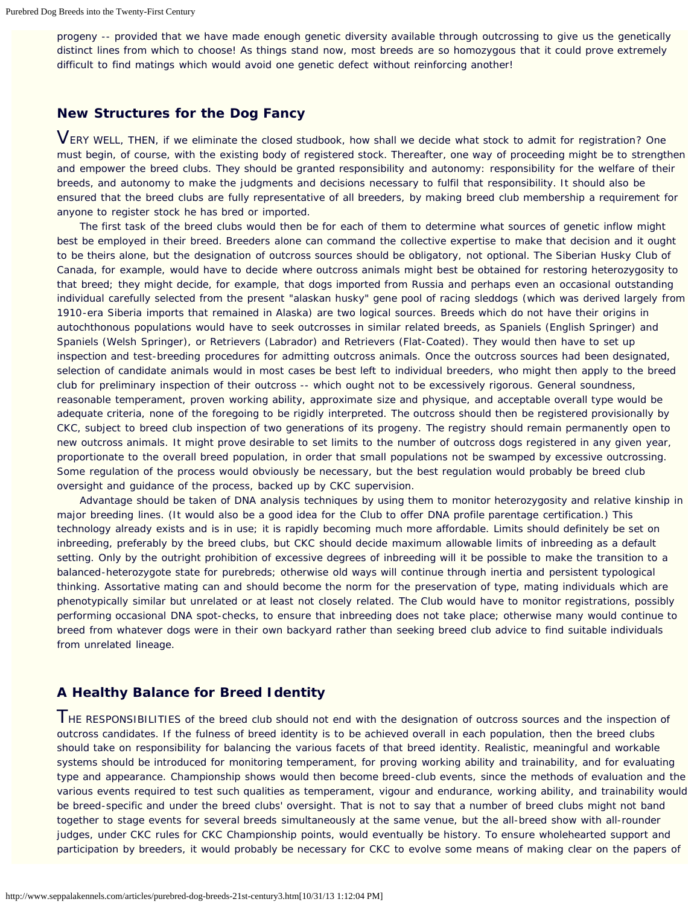progeny -- provided that we have made enough genetic diversity available through outcrossing to give us the genetically distinct lines from which to choose! As things stand now, most breeds are so homozygous that it could prove extremely difficult to find matings which would avoid one genetic defect without reinforcing another!

## **New Structures for the Dog Fancy**

VERY WELL, THEN, if we eliminate the closed studbook, how shall we decide what stock to admit for registration? One must begin, of course, with the existing body of registered stock. Thereafter, one way of proceeding might be to strengthen and empower the breed clubs. They should be granted responsibility and autonomy: responsibility for the welfare of their breeds, and autonomy to make the judgments and decisions necessary to fulfil that responsibility. It should also be ensured that the breed clubs are fully representative of all breeders, by making breed club membership a requirement for anyone to register stock he has bred or imported.

 The first task of the breed clubs would then be for each of them to determine what sources of genetic inflow might best be employed in their breed. Breeders alone can command the collective expertise to make that decision and it ought to be theirs alone, but the designation of outcross sources should be obligatory, not optional. The Siberian Husky Club of Canada, for example, would have to decide where outcross animals might best be obtained for restoring heterozygosity to that breed; they might decide, for example, that dogs imported from Russia and perhaps even an occasional outstanding individual carefully selected from the present "alaskan husky" gene pool of racing sleddogs (which was derived largely from 1910-era Siberia imports that remained in Alaska) are two logical sources. Breeds which do not have their origins in autochthonous populations would have to seek outcrosses in similar related breeds, as Spaniels (English Springer) and Spaniels (Welsh Springer), or Retrievers (Labrador) and Retrievers (Flat-Coated). They would then have to set up inspection and test-breeding procedures for admitting outcross animals. Once the outcross sources had been designated, selection of candidate animals would in most cases be best left to individual breeders, who might then apply to the breed club for preliminary inspection of their outcross -- which ought not to be excessively rigorous. General soundness, reasonable temperament, proven working ability, approximate size and physique, and acceptable overall type would be adequate criteria, none of the foregoing to be rigidly interpreted. The outcross should then be registered provisionally by CKC, subject to breed club inspection of two generations of its progeny. The registry should remain permanently open to new outcross animals. It might prove desirable to set limits to the number of outcross dogs registered in any given year, proportionate to the overall breed population, in order that small populations not be swamped by excessive outcrossing. Some regulation of the process would obviously be necessary, but the best regulation would probably be breed club oversight and guidance of the process, backed up by CKC supervision.

 Advantage should be taken of DNA analysis techniques by using them to monitor heterozygosity and relative kinship in major breeding lines. (It would also be a good idea for the Club to offer DNA profile parentage certification.) This technology already exists and is in use; it is rapidly becoming much more affordable. Limits should definitely be set on inbreeding, preferably by the breed clubs, but CKC should decide maximum allowable limits of inbreeding as a default setting. Only by the outright prohibition of excessive degrees of inbreeding will it be possible to make the transition to a balanced-heterozygote state for purebreds; otherwise old ways will continue through inertia and persistent typological thinking. Assortative mating can and should become the norm for the preservation of type, mating individuals which are phenotypically similar but unrelated or at least not closely related. The Club would have to monitor registrations, possibly performing occasional DNA spot-checks, to ensure that inbreeding does not take place; otherwise many would continue to breed from whatever dogs were in their own backyard rather than seeking breed club advice to find suitable individuals from unrelated lineage.

## **A Healthy Balance for Breed Identity**

THE RESPONSIBILITIES of the breed club should not end with the designation of outcross sources and the inspection of outcross candidates. If the fulness of breed identity is to be achieved overall in each population, then the breed clubs should take on responsibility for balancing the various facets of that breed identity. Realistic, meaningful and workable systems should be introduced for monitoring temperament, for proving working ability and trainability, and for evaluating type and appearance. Championship shows would then become breed-club events, since the methods of evaluation and the various events required to test such qualities as temperament, vigour and endurance, working ability, and trainability would be breed-specific and under the breed clubs' oversight. That is not to say that a number of breed clubs might not band together to stage events for several breeds simultaneously at the same venue, but the all-breed show with all-rounder judges, under CKC rules for CKC Championship points, would eventually be history. To ensure wholehearted support and participation by breeders, it would probably be necessary for CKC to evolve some means of making clear on the papers of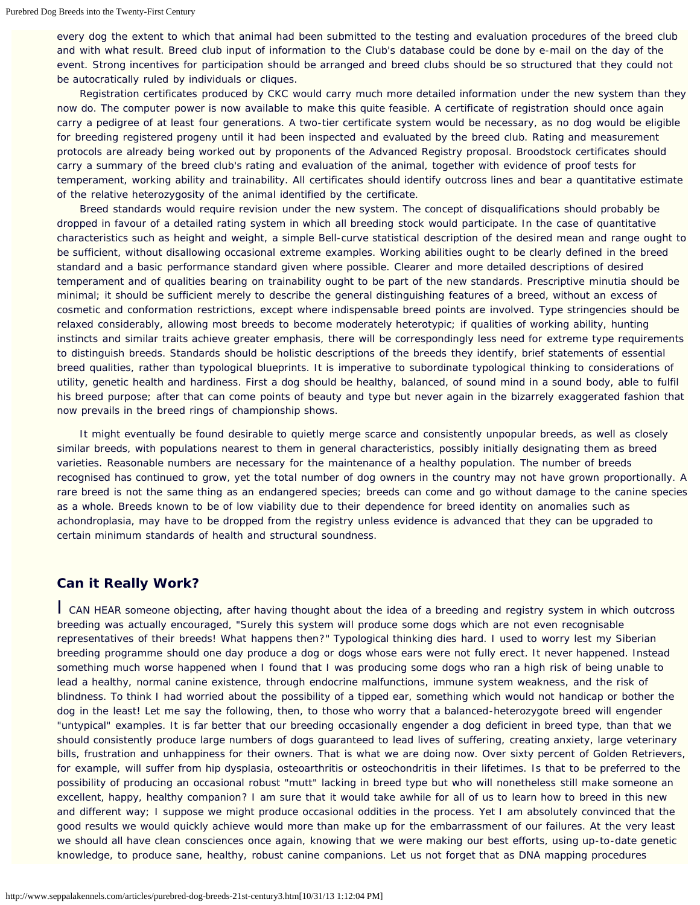every dog the extent to which that animal had been submitted to the testing and evaluation procedures of the breed club and with what result. Breed club input of information to the Club's database could be done by e-mail on the day of the event. Strong incentives for participation should be arranged and breed clubs should be so structured that they could not be autocratically ruled by individuals or cliques.

 Registration certificates produced by CKC would carry much more detailed information under the new system than they now do. The computer power is now available to make this quite feasible. A certificate of registration should once again carry a pedigree of at least four generations. A two-tier certificate system would be necessary, as no dog would be eligible for breeding registered progeny until it had been inspected and evaluated by the breed club. Rating and measurement protocols are already being worked out by proponents of the Advanced Registry proposal. Broodstock certificates should carry a summary of the breed club's rating and evaluation of the animal, together with evidence of proof tests for temperament, working ability and trainability. All certificates should identify outcross lines and bear a quantitative estimate of the relative heterozygosity of the animal identified by the certificate.

 Breed standards would require revision under the new system. The concept of disqualifications should probably be dropped in favour of a detailed rating system in which all breeding stock would participate. In the case of quantitative characteristics such as height and weight, a simple Bell-curve statistical description of the desired mean and range ought to be sufficient, without disallowing occasional extreme examples. Working abilities ought to be clearly defined in the breed standard and a basic performance standard given where possible. Clearer and more detailed descriptions of desired temperament and of qualities bearing on trainability ought to be part of the new standards. Prescriptive minutia should be minimal; it should be sufficient merely to describe the general distinguishing features of a breed, without an excess of cosmetic and conformation restrictions, except where indispensable breed points are involved. Type stringencies should be relaxed considerably, allowing most breeds to become moderately heterotypic; if qualities of working ability, hunting instincts and similar traits achieve greater emphasis, there will be correspondingly less need for extreme type requirements to distinguish breeds. Standards should be holistic descriptions of the breeds they identify, brief statements of essential breed qualities, rather than typological blueprints. It is imperative to subordinate typological thinking to considerations of utility, genetic health and hardiness. First a dog should be healthy, balanced, of sound mind in a sound body, able to fulfil his breed purpose; after that can come points of beauty and type but never again in the bizarrely exaggerated fashion that now prevails in the breed rings of championship shows.

 It might eventually be found desirable to quietly merge scarce and consistently unpopular breeds, as well as closely similar breeds, with populations nearest to them in general characteristics, possibly initially designating them as breed varieties. Reasonable numbers are necessary for the maintenance of a healthy population. The number of breeds recognised has continued to grow, yet the total number of dog owners in the country may not have grown proportionally. A rare breed is not the same thing as an endangered species; breeds can come and go without damage to the canine species as a whole. Breeds known to be of low viability due to their dependence for breed identity on anomalies such as achondroplasia, may have to be dropped from the registry unless evidence is advanced that they can be upgraded to certain minimum standards of health and structural soundness.

## **Can it Really Work?**

I CAN HEAR someone objecting, after having thought about the idea of a breeding and registry system in which outcross breeding was actually encouraged, "Surely this system will produce some dogs which are not even recognisable representatives of their breeds! What happens then?" Typological thinking dies hard. I used to worry lest my Siberian breeding programme should one day produce a dog or dogs whose ears were not fully erect. It never happened. Instead something much worse happened when I found that I was producing some dogs who ran a high risk of being unable to lead a healthy, normal canine existence, through endocrine malfunctions, immune system weakness, and the risk of blindness. To think I had worried about the possibility of a tipped ear, something which would not handicap or bother the dog in the least! Let me say the following, then, to those who worry that a balanced-heterozygote breed will engender "untypical" examples. It is far better that our breeding occasionally engender a dog deficient in breed type, than that we should consistently produce large numbers of dogs guaranteed to lead lives of suffering, creating anxiety, large veterinary bills, frustration and unhappiness for their owners. That is what we are doing now. Over sixty percent of Golden Retrievers, for example, will suffer from hip dysplasia, osteoarthritis or osteochondritis in their lifetimes. Is that to be preferred to the possibility of producing an occasional robust "mutt" lacking in breed type but who will nonetheless still make someone an excellent, happy, healthy companion? I am sure that it would take awhile for all of us to learn how to breed in this new and different way; I suppose we might produce occasional oddities in the process. Yet I am absolutely convinced that the good results we would quickly achieve would more than make up for the embarrassment of our failures. At the very least we should all have clean consciences once again, knowing that we were making our best efforts, using up-to-date genetic knowledge, to produce sane, healthy, robust canine companions. Let us not forget that as DNA mapping procedures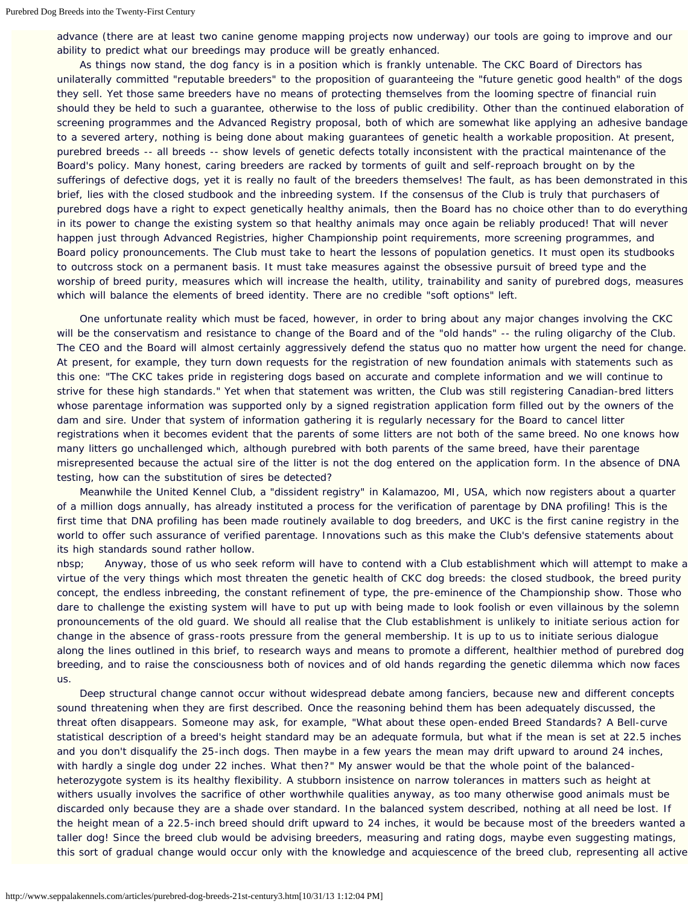advance (there are at least two canine genome mapping projects now underway) our tools are going to improve and our ability to predict what our breedings may produce will be greatly enhanced.

 As things now stand, the dog fancy is in a position which is frankly untenable. The CKC Board of Directors has unilaterally committed "reputable breeders" to the proposition of guaranteeing the "future genetic good health" of the dogs they sell. Yet those same breeders have no means of protecting themselves from the looming spectre of financial ruin should they be held to such a guarantee, otherwise to the loss of public credibility. Other than the continued elaboration of screening programmes and the Advanced Registry proposal, both of which are somewhat like applying an adhesive bandage to a severed artery, nothing is being done about making guarantees of genetic health a workable proposition. At present, purebred breeds -- all breeds -- show levels of genetic defects totally inconsistent with the practical maintenance of the Board's policy. Many honest, caring breeders are racked by torments of guilt and self-reproach brought on by the sufferings of defective dogs, yet it is really no fault of the breeders themselves! The fault, as has been demonstrated in this brief, lies with the closed studbook and the inbreeding system. If the consensus of the Club is truly that purchasers of purebred dogs have a right to expect genetically healthy animals, then the Board has no choice other than to do everything in its power to change the existing system so that healthy animals may once again be reliably produced! That will never happen just through Advanced Registries, higher Championship point requirements, more screening programmes, and Board policy pronouncements. The Club must take to heart the lessons of population genetics. It must open its studbooks to outcross stock on a permanent basis. It must take measures against the obsessive pursuit of breed type and the worship of breed purity, measures which will increase the health, utility, trainability and sanity of purebred dogs, measures which will balance the elements of breed identity. There are no credible "soft options" left.

 One unfortunate reality which must be faced, however, in order to bring about any major changes involving the CKC will be the conservatism and resistance to change of the Board and of the "old hands" -- the ruling oligarchy of the Club. The CEO and the Board will almost certainly aggressively defend the status quo no matter how urgent the need for change. At present, for example, they turn down requests for the registration of new foundation animals with statements such as this one: "The CKC takes pride in registering dogs based on accurate and complete information and we will continue to strive for these high standards." Yet when that statement was written, the Club was still registering Canadian-bred litters whose parentage information was supported only by a signed registration application form filled out by the owners of the dam and sire. Under that system of information gathering it is regularly necessary for the Board to cancel litter registrations when it becomes evident that the parents of some litters are not both of the same breed. No one knows how many litters go unchallenged which, although purebred with both parents of the same breed, have their parentage misrepresented because the actual sire of the litter is not the dog entered on the application form. In the absence of DNA testing, how can the substitution of sires be detected?

 Meanwhile the United Kennel Club, a "dissident registry" in Kalamazoo, MI, USA, which now registers about a quarter of a million dogs annually, has already instituted a process for the verification of parentage by DNA profiling! This is the first time that DNA profiling has been made routinely available to dog breeders, and UKC is the first canine registry in the world to offer such assurance of verified parentage. Innovations such as this make the Club's defensive statements about its high standards sound rather hollow.

nbsp; Anyway, those of us who seek reform will have to contend with a Club establishment which will attempt to make a virtue of the very things which most threaten the genetic health of CKC dog breeds: the closed studbook, the breed purity concept, the endless inbreeding, the constant refinement of type, the pre-eminence of the Championship show. Those who dare to challenge the existing system will have to put up with being made to look foolish or even villainous by the solemn pronouncements of the old guard. We should all realise that the Club establishment is unlikely to initiate serious action for change in the absence of grass-roots pressure from the general membership. It is up to us to initiate serious dialogue along the lines outlined in this brief, to research ways and means to promote a different, healthier method of purebred dog breeding, and to raise the consciousness both of novices and of old hands regarding the genetic dilemma which now faces us.

 Deep structural change cannot occur without widespread debate among fanciers, because new and different concepts sound threatening when they are first described. Once the reasoning behind them has been adequately discussed, the threat often disappears. Someone may ask, for example, "What about these open-ended Breed Standards? A Bell-curve statistical description of a breed's height standard may be an adequate formula, but what if the mean is set at 22.5 inches and you don't disqualify the 25-inch dogs. Then maybe in a few years the mean may drift upward to around 24 inches, with hardly a single dog under 22 inches. What then?" My answer would be that the whole point of the balancedheterozygote system is its healthy flexibility. A stubborn insistence on narrow tolerances in matters such as height at withers usually involves the sacrifice of other worthwhile qualities anyway, as too many otherwise good animals must be discarded only because they are a shade over standard. In the balanced system described, nothing at all need be lost. If the height mean of a 22.5-inch breed should drift upward to 24 inches, it would be because most of the breeders wanted a taller dog! Since the breed club would be advising breeders, measuring and rating dogs, maybe even suggesting matings, this sort of gradual change would occur only with the knowledge and acquiescence of the breed club, representing all active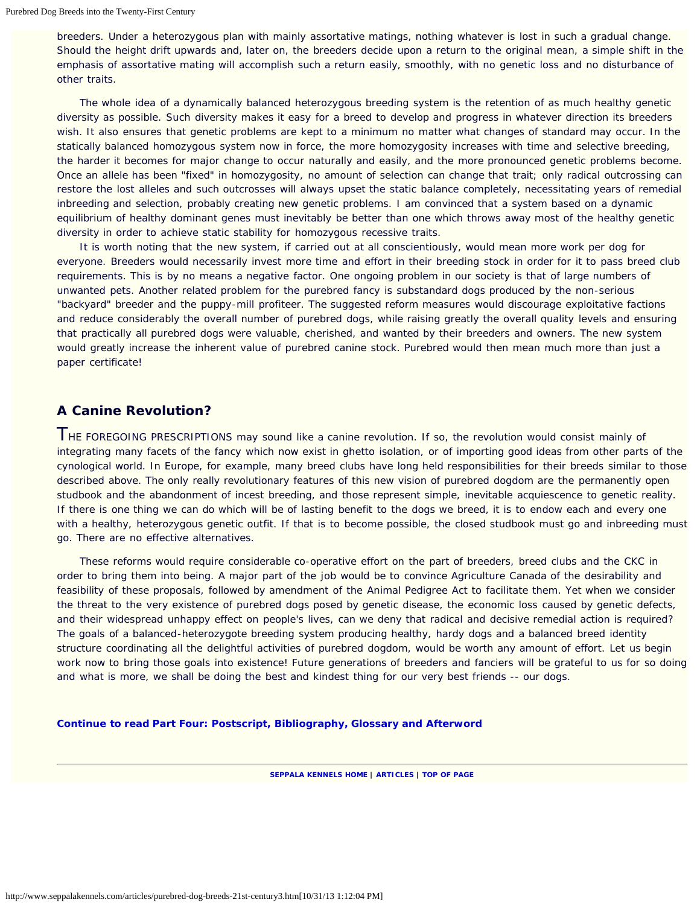breeders. Under a heterozygous plan with mainly assortative matings, nothing whatever is lost in such a gradual change. Should the height drift upwards and, later on, the breeders decide upon a return to the original mean, a simple shift in the emphasis of assortative mating will accomplish such a return easily, smoothly, with no genetic loss and no disturbance of other traits.

 The whole idea of a dynamically balanced heterozygous breeding system is the retention of as much healthy genetic diversity as possible. Such diversity makes it easy for a breed to develop and progress in whatever direction its breeders wish. It also ensures that genetic problems are kept to a minimum no matter what changes of standard may occur. In the statically balanced homozygous system now in force, the more homozygosity increases with time and selective breeding, the harder it becomes for major change to occur naturally and easily, and the more pronounced genetic problems become. Once an allele has been "fixed" in homozygosity, no amount of selection can change that trait; only radical outcrossing can restore the lost alleles and such outcrosses will always upset the static balance completely, necessitating years of remedial inbreeding and selection, probably creating new genetic problems. I am convinced that a system based on a dynamic equilibrium of healthy dominant genes must inevitably be better than one which throws away most of the healthy genetic diversity in order to achieve static stability for homozygous recessive traits.

 It is worth noting that the new system, if carried out at all conscientiously, would mean more work per dog for everyone. Breeders would necessarily invest more time and effort in their breeding stock in order for it to pass breed club requirements. This is by no means a negative factor. One ongoing problem in our society is that of large numbers of unwanted pets. Another related problem for the purebred fancy is substandard dogs produced by the non-serious "backyard" breeder and the puppy-mill profiteer. The suggested reform measures would discourage exploitative factions and reduce considerably the overall number of purebred dogs, while raising greatly the overall quality levels and ensuring that practically all purebred dogs were valuable, cherished, and wanted by their breeders and owners. The new system would greatly increase the inherent value of purebred canine stock. Purebred would then mean much more than just a paper certificate!

## **A Canine Revolution?**

THE FOREGOING PRESCRIPTIONS may sound like a canine revolution. If so, the revolution would consist mainly of integrating many facets of the fancy which now exist in ghetto isolation, or of importing good ideas from other parts of the cynological world. In Europe, for example, many breed clubs have long held responsibilities for their breeds similar to those described above. The only really revolutionary features of this new vision of purebred dogdom are the permanently open studbook and the abandonment of incest breeding, and those represent simple, inevitable acquiescence to genetic reality. If there is one thing we can do which will be of lasting benefit to the dogs we breed, it is to endow each and every one with a healthy, heterozygous genetic outfit. If that is to become possible, the closed studbook must go and inbreeding must go. There are no effective alternatives.

 These reforms would require considerable co-operative effort on the part of breeders, breed clubs and the CKC in order to bring them into being. A major part of the job would be to convince Agriculture Canada of the desirability and feasibility of these proposals, followed by amendment of the Animal Pedigree Act to facilitate them. Yet when we consider the threat to the very existence of purebred dogs posed by genetic disease, the economic loss caused by genetic defects, and their widespread unhappy effect on people's lives, can we deny that radical and decisive remedial action is required? The goals of a balanced-heterozygote breeding system producing healthy, hardy dogs and a balanced breed identity structure coordinating all the delightful activities of purebred dogdom, would be worth any amount of effort. Let us begin work now to bring those goals into existence! Future generations of breeders and fanciers will be grateful to us for so doing and what is more, we shall be doing the best and kindest thing for our very best friends -- our dogs.

**[Continue to read Part Four: Postscript, Bibliography, Glossary and Afterword](http://www.seppalakennels.com/articles/purebred-dog-breeds-21st-century4.htm)**

**[SEPPALA KENNELS HOME](http://www.seppalakennels.com/index.htm) | [ARTICLES](http://www.seppalakennels.com/jeffreys-articles.htm) | TOP OF [PAGE](#page-20-0)**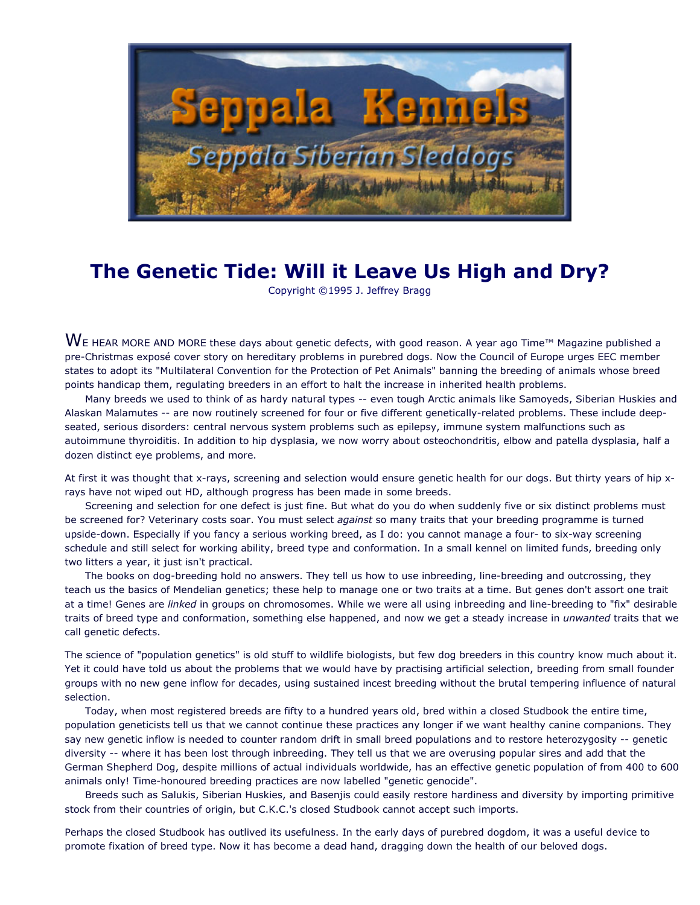

## **The Genetic Tide: Will it Leave Us High and Dry?**

Copyright ©1995 J. Jeffrey Bragg

 $W$ E HEAR MORE AND MORE these days about genetic defects, with good reason. A year ago Time™ Magazine published a pre-Christmas exposé cover story on hereditary problems in purebred dogs. Now the Council of Europe urges EEC member states to adopt its "Multilateral Convention for the Protection of Pet Animals" banning the breeding of animals whose breed points handicap them, regulating breeders in an effort to halt the increase in inherited health problems.

 Many breeds we used to think of as hardy natural types -- even tough Arctic animals like Samoyeds, Siberian Huskies and Alaskan Malamutes -- are now routinely screened for four or five different genetically-related problems. These include deepseated, serious disorders: central nervous system problems such as epilepsy, immune system malfunctions such as autoimmune thyroiditis. In addition to hip dysplasia, we now worry about osteochondritis, elbow and patella dysplasia, half a dozen distinct eye problems, and more.

At first it was thought that x-rays, screening and selection would ensure genetic health for our dogs. But thirty years of hip xrays have not wiped out HD, although progress has been made in some breeds.

 Screening and selection for one defect is just fine. But what do you do when suddenly five or six distinct problems must be screened for? Veterinary costs soar. You must select *against* so many traits that your breeding programme is turned upside-down. Especially if you fancy a serious working breed, as I do: you cannot manage a four- to six-way screening schedule and still select for working ability, breed type and conformation. In a small kennel on limited funds, breeding only two litters a year, it just isn't practical.

 The books on dog-breeding hold no answers. They tell us how to use inbreeding, line-breeding and outcrossing, they teach us the basics of Mendelian genetics; these help to manage one or two traits at a time. But genes don't assort one trait at a time! Genes are *linked* in groups on chromosomes. While we were all using inbreeding and line-breeding to "fix" desirable traits of breed type and conformation, something else happened, and now we get a steady increase in *unwanted* traits that we call genetic defects.

The science of "population genetics" is old stuff to wildlife biologists, but few dog breeders in this country know much about it. Yet it could have told us about the problems that we would have by practising artificial selection, breeding from small founder groups with no new gene inflow for decades, using sustained incest breeding without the brutal tempering influence of natural selection.

 Today, when most registered breeds are fifty to a hundred years old, bred within a closed Studbook the entire time, population geneticists tell us that we cannot continue these practices any longer if we want healthy canine companions. They say new genetic inflow is needed to counter random drift in small breed populations and to restore heterozygosity -- genetic diversity -- where it has been lost through inbreeding. They tell us that we are overusing popular sires and add that the German Shepherd Dog, despite millions of actual individuals worldwide, has an effective genetic population of from 400 to 600 animals only! Time-honoured breeding practices are now labelled "genetic genocide".

 Breeds such as Salukis, Siberian Huskies, and Basenjis could easily restore hardiness and diversity by importing primitive stock from their countries of origin, but C.K.C.'s closed Studbook cannot accept such imports.

Perhaps the closed Studbook has outlived its usefulness. In the early days of purebred dogdom, it was a useful device to promote fixation of breed type. Now it has become a dead hand, dragging down the health of our beloved dogs.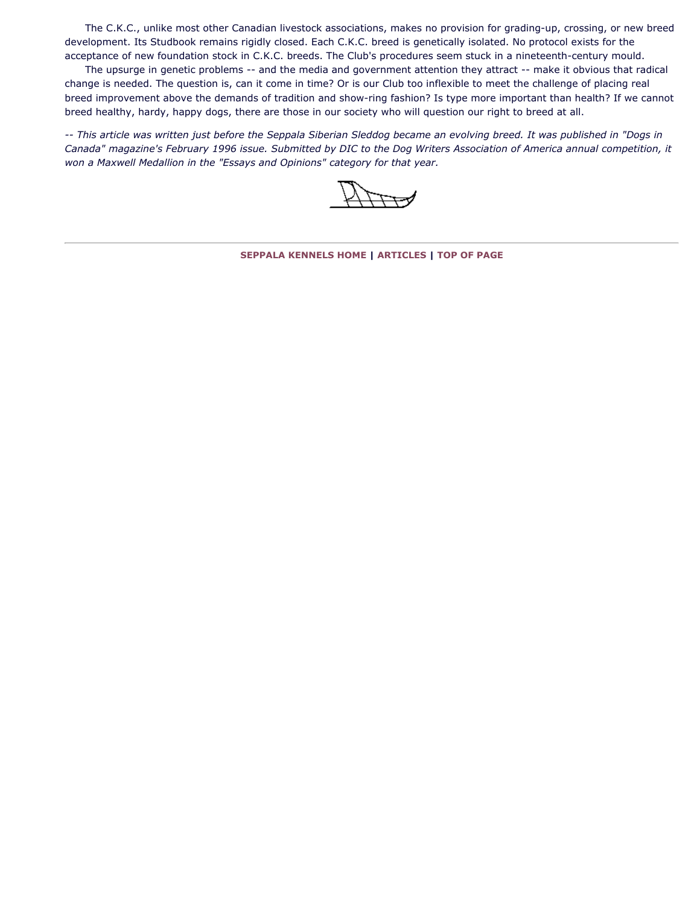The C.K.C., unlike most other Canadian livestock associations, makes no provision for grading-up, crossing, or new breed development. Its Studbook remains rigidly closed. Each C.K.C. breed is genetically isolated. No protocol exists for the acceptance of new foundation stock in C.K.C. breeds. The Club's procedures seem stuck in a nineteenth-century mould.

 The upsurge in genetic problems -- and the media and government attention they attract -- make it obvious that radical change is needed. The question is, can it come in time? Or is our Club too inflexible to meet the challenge of placing real breed improvement above the demands of tradition and show-ring fashion? Is type more important than health? If we cannot breed healthy, hardy, happy dogs, there are those in our society who will question our right to breed at all.

*-- This article was written just before the Seppala Siberian Sleddog became an evolving breed. It was published in "Dogs in Canada" magazine's February 1996 issue. Submitted by DIC to the Dog Writers Association of America annual competition, it won a Maxwell Medallion in the "Essays and Opinions" category for that year.*

**[SEPPALA KENNELS HOME](http://www.seppalakennels.com/index.htm) | [ARTICLES](http://www.seppalakennels.com/jeffreys-articles.htm) | [TOP OF PAGE](http://www.seppalakennels.com/articles/genetictide.htm)**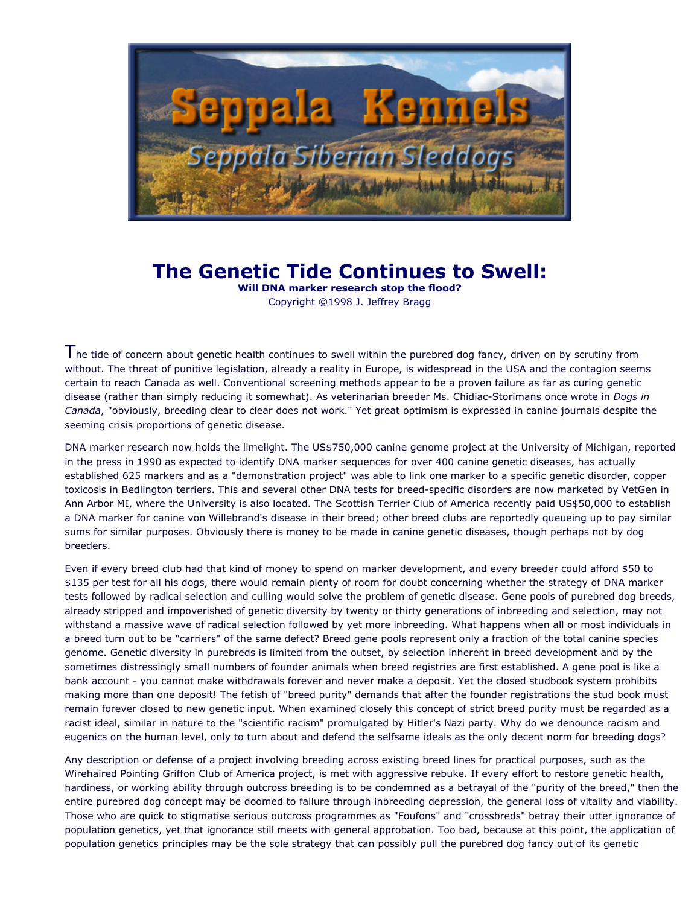

## **The Genetic Tide Continues to Swell:**

**Will DNA marker research stop the flood?** Copyright ©1998 J. Jeffrey Bragg

The tide of concern about genetic health continues to swell within the purebred dog fancy, driven on by scrutiny from without. The threat of punitive legislation, already a reality in Europe, is widespread in the USA and the contagion seems certain to reach Canada as well. Conventional screening methods appear to be a proven failure as far as curing genetic disease (rather than simply reducing it somewhat). As veterinarian breeder Ms. Chidiac-Storimans once wrote in *Dogs in Canada*, "obviously, breeding clear to clear does not work." Yet great optimism is expressed in canine journals despite the seeming crisis proportions of genetic disease.

DNA marker research now holds the limelight. The US\$750,000 canine genome project at the University of Michigan, reported in the press in 1990 as expected to identify DNA marker sequences for over 400 canine genetic diseases, has actually established 625 markers and as a "demonstration project" was able to link one marker to a specific genetic disorder, copper toxicosis in Bedlington terriers. This and several other DNA tests for breed-specific disorders are now marketed by VetGen in Ann Arbor MI, where the University is also located. The Scottish Terrier Club of America recently paid US\$50,000 to establish a DNA marker for canine von Willebrand's disease in their breed; other breed clubs are reportedly queueing up to pay similar sums for similar purposes. Obviously there is money to be made in canine genetic diseases, though perhaps not by dog breeders.

Even if every breed club had that kind of money to spend on marker development, and every breeder could afford \$50 to \$135 per test for all his dogs, there would remain plenty of room for doubt concerning whether the strategy of DNA marker tests followed by radical selection and culling would solve the problem of genetic disease. Gene pools of purebred dog breeds, already stripped and impoverished of genetic diversity by twenty or thirty generations of inbreeding and selection, may not withstand a massive wave of radical selection followed by yet more inbreeding. What happens when all or most individuals in a breed turn out to be "carriers" of the same defect? Breed gene pools represent only a fraction of the total canine species genome. Genetic diversity in purebreds is limited from the outset, by selection inherent in breed development and by the sometimes distressingly small numbers of founder animals when breed registries are first established. A gene pool is like a bank account - you cannot make withdrawals forever and never make a deposit. Yet the closed studbook system prohibits making more than one deposit! The fetish of "breed purity" demands that after the founder registrations the stud book must remain forever closed to new genetic input. When examined closely this concept of strict breed purity must be regarded as a racist ideal, similar in nature to the "scientific racism" promulgated by Hitler's Nazi party. Why do we denounce racism and eugenics on the human level, only to turn about and defend the selfsame ideals as the only decent norm for breeding dogs?

Any description or defense of a project involving breeding across existing breed lines for practical purposes, such as the Wirehaired Pointing Griffon Club of America project, is met with aggressive rebuke. If every effort to restore genetic health, hardiness, or working ability through outcross breeding is to be condemned as a betrayal of the "purity of the breed," then the entire purebred dog concept may be doomed to failure through inbreeding depression, the general loss of vitality and viability. Those who are quick to stigmatise serious outcross programmes as "Foufons" and "crossbreds" betray their utter ignorance of population genetics, yet that ignorance still meets with general approbation. Too bad, because at this point, the application of population genetics principles may be the sole strategy that can possibly pull the purebred dog fancy out of its genetic